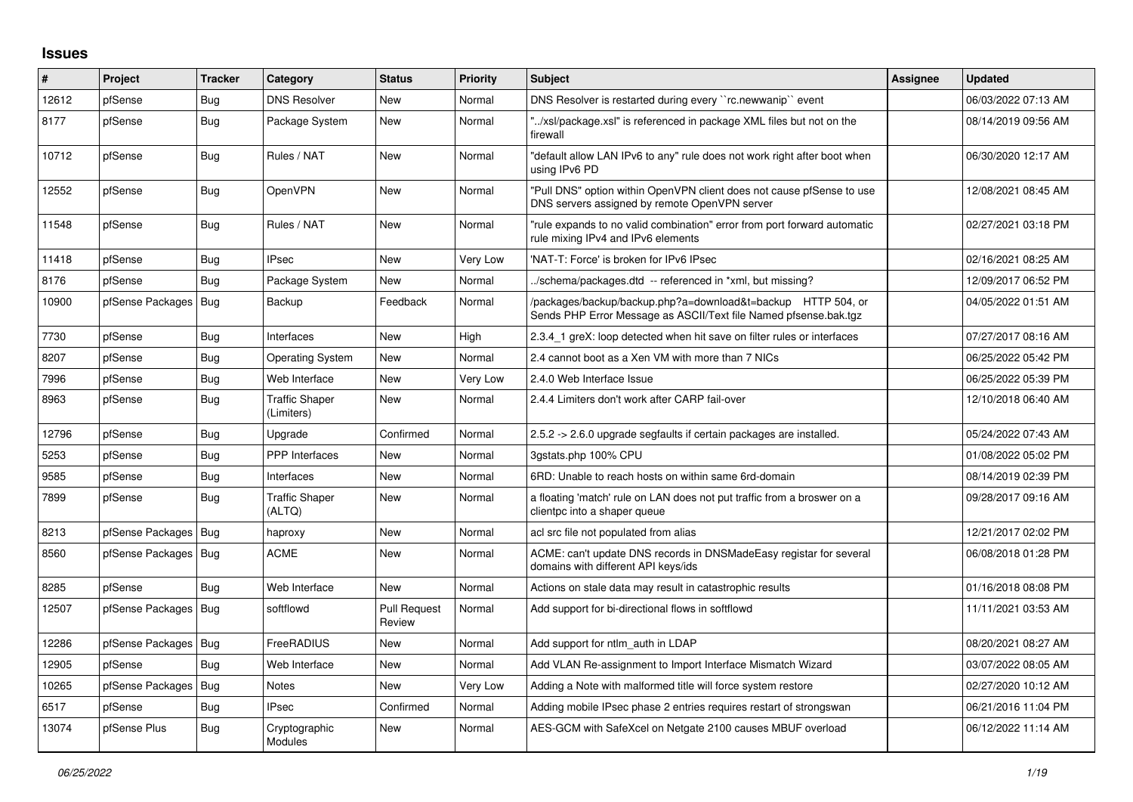## **Issues**

| #     | <b>Project</b>         | <b>Tracker</b> | Category                            | <b>Status</b>                 | <b>Priority</b> | <b>Subject</b>                                                                                                                   | Assignee | <b>Updated</b>      |
|-------|------------------------|----------------|-------------------------------------|-------------------------------|-----------------|----------------------------------------------------------------------------------------------------------------------------------|----------|---------------------|
| 12612 | pfSense                | <b>Bug</b>     | <b>DNS Resolver</b>                 | <b>New</b>                    | Normal          | DNS Resolver is restarted during every "rc.newwanip" event                                                                       |          | 06/03/2022 07:13 AM |
| 8177  | pfSense                | <b>Bug</b>     | Package System                      | New                           | Normal          | "/xsl/package.xsl" is referenced in package XML files but not on the<br>firewall                                                 |          | 08/14/2019 09:56 AM |
| 10712 | pfSense                | Bug            | Rules / NAT                         | New                           | Normal          | "default allow LAN IPv6 to any" rule does not work right after boot when<br>using IPv6 PD                                        |          | 06/30/2020 12:17 AM |
| 12552 | pfSense                | <b>Bug</b>     | OpenVPN                             | <b>New</b>                    | Normal          | "Pull DNS" option within OpenVPN client does not cause pfSense to use<br>DNS servers assigned by remote OpenVPN server           |          | 12/08/2021 08:45 AM |
| 11548 | pfSense                | <b>Bug</b>     | Rules / NAT                         | New                           | Normal          | "rule expands to no valid combination" error from port forward automatic<br>rule mixing IPv4 and IPv6 elements                   |          | 02/27/2021 03:18 PM |
| 11418 | pfSense                | Bug            | <b>IPsec</b>                        | New                           | Very Low        | 'NAT-T: Force' is broken for IPv6 IPsec                                                                                          |          | 02/16/2021 08:25 AM |
| 8176  | pfSense                | Bug            | Package System                      | New                           | Normal          | ./schema/packages.dtd -- referenced in *xml, but missing?                                                                        |          | 12/09/2017 06:52 PM |
| 10900 | pfSense Packages   Bug |                | Backup                              | Feedback                      | Normal          | /packages/backup/backup.php?a=download&t=backup HTTP 504, or<br>Sends PHP Error Message as ASCII/Text file Named pfsense.bak.tgz |          | 04/05/2022 01:51 AM |
| 7730  | pfSense                | Bug            | Interfaces                          | <b>New</b>                    | High            | 2.3.4 1 greX: loop detected when hit save on filter rules or interfaces                                                          |          | 07/27/2017 08:16 AM |
| 8207  | pfSense                | <b>Bug</b>     | <b>Operating System</b>             | New                           | Normal          | 2.4 cannot boot as a Xen VM with more than 7 NICs                                                                                |          | 06/25/2022 05:42 PM |
| 7996  | pfSense                | Bug            | Web Interface                       | New                           | Very Low        | 2.4.0 Web Interface Issue                                                                                                        |          | 06/25/2022 05:39 PM |
| 8963  | pfSense                | Bug            | <b>Traffic Shaper</b><br>(Limiters) | New                           | Normal          | 2.4.4 Limiters don't work after CARP fail-over                                                                                   |          | 12/10/2018 06:40 AM |
| 12796 | pfSense                | Bug            | Upgrade                             | Confirmed                     | Normal          | 2.5.2 -> 2.6.0 upgrade segfaults if certain packages are installed.                                                              |          | 05/24/2022 07:43 AM |
| 5253  | pfSense                | Bug            | PPP Interfaces                      | <b>New</b>                    | Normal          | 3gstats.php 100% CPU                                                                                                             |          | 01/08/2022 05:02 PM |
| 9585  | pfSense                | Bug            | Interfaces                          | New                           | Normal          | 6RD: Unable to reach hosts on within same 6rd-domain                                                                             |          | 08/14/2019 02:39 PM |
| 7899  | pfSense                | Bug            | <b>Traffic Shaper</b><br>(ALTQ)     | New                           | Normal          | a floating 'match' rule on LAN does not put traffic from a broswer on a<br>clientpc into a shaper queue                          |          | 09/28/2017 09:16 AM |
| 8213  | pfSense Packages   Bug |                | haproxy                             | New                           | Normal          | acl src file not populated from alias                                                                                            |          | 12/21/2017 02:02 PM |
| 8560  | pfSense Packages   Bug |                | <b>ACME</b>                         | <b>New</b>                    | Normal          | ACME: can't update DNS records in DNSMadeEasy registar for several<br>domains with different API keys/ids                        |          | 06/08/2018 01:28 PM |
| 8285  | pfSense                | <b>Bug</b>     | Web Interface                       | New                           | Normal          | Actions on stale data may result in catastrophic results                                                                         |          | 01/16/2018 08:08 PM |
| 12507 | pfSense Packages   Bug |                | softflowd                           | <b>Pull Request</b><br>Review | Normal          | Add support for bi-directional flows in softflowd                                                                                |          | 11/11/2021 03:53 AM |
| 12286 | pfSense Packages   Bug |                | <b>FreeRADIUS</b>                   | <b>New</b>                    | Normal          | Add support for ntlm auth in LDAP                                                                                                |          | 08/20/2021 08:27 AM |
| 12905 | pfSense                | <b>Bug</b>     | Web Interface                       | New                           | Normal          | Add VLAN Re-assignment to Import Interface Mismatch Wizard                                                                       |          | 03/07/2022 08:05 AM |
| 10265 | pfSense Packages   Bug |                | <b>Notes</b>                        | New                           | Very Low        | Adding a Note with malformed title will force system restore                                                                     |          | 02/27/2020 10:12 AM |
| 6517  | pfSense                | <b>Bug</b>     | <b>IPsec</b>                        | Confirmed                     | Normal          | Adding mobile IPsec phase 2 entries requires restart of strongswan                                                               |          | 06/21/2016 11:04 PM |
| 13074 | pfSense Plus           | <b>Bug</b>     | Cryptographic<br>Modules            | <b>New</b>                    | Normal          | AES-GCM with SafeXcel on Netgate 2100 causes MBUF overload                                                                       |          | 06/12/2022 11:14 AM |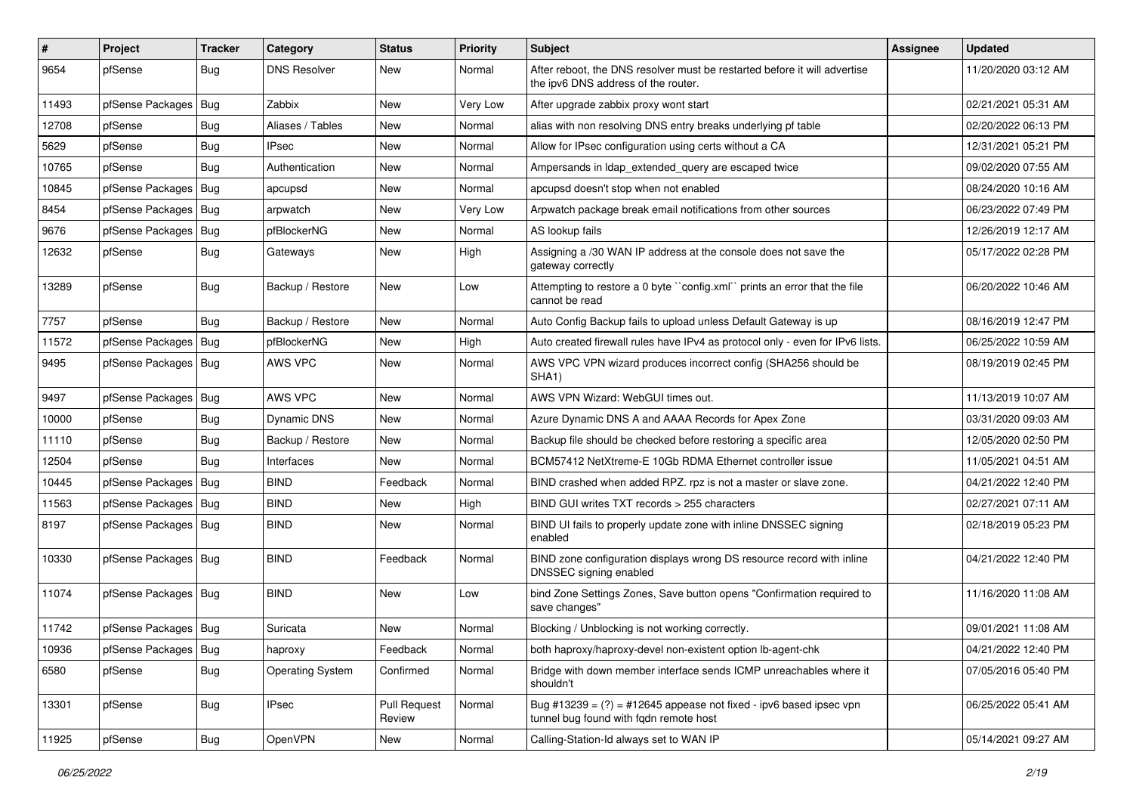| $\pmb{\sharp}$ | Project                | <b>Tracker</b> | Category                | <b>Status</b>                 | Priority | Subject                                                                                                          | Assignee | <b>Updated</b>      |
|----------------|------------------------|----------------|-------------------------|-------------------------------|----------|------------------------------------------------------------------------------------------------------------------|----------|---------------------|
| 9654           | pfSense                | <b>Bug</b>     | <b>DNS Resolver</b>     | New                           | Normal   | After reboot, the DNS resolver must be restarted before it will advertise<br>the ipv6 DNS address of the router. |          | 11/20/2020 03:12 AM |
| 11493          | pfSense Packages       | <b>Bug</b>     | Zabbix                  | <b>New</b>                    | Very Low | After upgrade zabbix proxy wont start                                                                            |          | 02/21/2021 05:31 AM |
| 12708          | pfSense                | <b>Bug</b>     | Aliases / Tables        | New                           | Normal   | alias with non resolving DNS entry breaks underlying pf table                                                    |          | 02/20/2022 06:13 PM |
| 5629           | pfSense                | Bug            | <b>IPsec</b>            | New                           | Normal   | Allow for IPsec configuration using certs without a CA                                                           |          | 12/31/2021 05:21 PM |
| 10765          | pfSense                | Bug            | Authentication          | New                           | Normal   | Ampersands in Idap extended query are escaped twice                                                              |          | 09/02/2020 07:55 AM |
| 10845          | pfSense Packages       | Bug            | apcupsd                 | New                           | Normal   | apcupsd doesn't stop when not enabled                                                                            |          | 08/24/2020 10:16 AM |
| 8454           | pfSense Packages       | Bug            | arpwatch                | New                           | Very Low | Arpwatch package break email notifications from other sources                                                    |          | 06/23/2022 07:49 PM |
| 9676           | pfSense Packages       | Bug            | pfBlockerNG             | New                           | Normal   | AS lookup fails                                                                                                  |          | 12/26/2019 12:17 AM |
| 12632          | pfSense                | Bug            | Gateways                | <b>New</b>                    | High     | Assigning a /30 WAN IP address at the console does not save the<br>gateway correctly                             |          | 05/17/2022 02:28 PM |
| 13289          | pfSense                | Bug            | Backup / Restore        | New                           | Low      | Attempting to restore a 0 byte "config.xml" prints an error that the file<br>cannot be read                      |          | 06/20/2022 10:46 AM |
| 7757           | pfSense                | Bug            | Backup / Restore        | New                           | Normal   | Auto Config Backup fails to upload unless Default Gateway is up                                                  |          | 08/16/2019 12:47 PM |
| 11572          | pfSense Packages   Bug |                | pfBlockerNG             | New                           | High     | Auto created firewall rules have IPv4 as protocol only - even for IPv6 lists.                                    |          | 06/25/2022 10:59 AM |
| 9495           | pfSense Packages   Bug |                | AWS VPC                 | <b>New</b>                    | Normal   | AWS VPC VPN wizard produces incorrect config (SHA256 should be<br>SHA1)                                          |          | 08/19/2019 02:45 PM |
| 9497           | pfSense Packages       | Bug            | AWS VPC                 | New                           | Normal   | AWS VPN Wizard: WebGUI times out.                                                                                |          | 11/13/2019 10:07 AM |
| 10000          | pfSense                | <b>Bug</b>     | Dynamic DNS             | New                           | Normal   | Azure Dynamic DNS A and AAAA Records for Apex Zone                                                               |          | 03/31/2020 09:03 AM |
| 11110          | pfSense                | Bug            | Backup / Restore        | New                           | Normal   | Backup file should be checked before restoring a specific area                                                   |          | 12/05/2020 02:50 PM |
| 12504          | pfSense                | <b>Bug</b>     | Interfaces              | New                           | Normal   | BCM57412 NetXtreme-E 10Gb RDMA Ethernet controller issue                                                         |          | 11/05/2021 04:51 AM |
| 10445          | pfSense Packages       | Bug            | <b>BIND</b>             | Feedback                      | Normal   | BIND crashed when added RPZ. rpz is not a master or slave zone.                                                  |          | 04/21/2022 12:40 PM |
| 11563          | pfSense Packages   Bug |                | <b>BIND</b>             | New                           | High     | BIND GUI writes TXT records > 255 characters                                                                     |          | 02/27/2021 07:11 AM |
| 8197           | pfSense Packages   Bug |                | <b>BIND</b>             | <b>New</b>                    | Normal   | BIND UI fails to properly update zone with inline DNSSEC signing<br>enabled                                      |          | 02/18/2019 05:23 PM |
| 10330          | pfSense Packages   Bug |                | <b>BIND</b>             | Feedback                      | Normal   | BIND zone configuration displays wrong DS resource record with inline<br>DNSSEC signing enabled                  |          | 04/21/2022 12:40 PM |
| 11074          | pfSense Packages   Bug |                | <b>BIND</b>             | New                           | Low      | bind Zone Settings Zones, Save button opens "Confirmation required to<br>save changes"                           |          | 11/16/2020 11:08 AM |
| 11742          | pfSense Packages   Bug |                | Suricata                | New                           | Normal   | Blocking / Unblocking is not working correctly.                                                                  |          | 09/01/2021 11:08 AM |
| 10936          | pfSense Packages   Bug |                | haproxy                 | Feedback                      | Normal   | both haproxy/haproxy-devel non-existent option lb-agent-chk                                                      |          | 04/21/2022 12:40 PM |
| 6580           | pfSense                | Bug            | <b>Operating System</b> | Confirmed                     | Normal   | Bridge with down member interface sends ICMP unreachables where it<br>shouldn't                                  |          | 07/05/2016 05:40 PM |
| 13301          | pfSense                | <b>Bug</b>     | <b>IPsec</b>            | <b>Pull Request</b><br>Review | Normal   | Bug #13239 = $(?)$ = #12645 appease not fixed - ipv6 based ipsec vpn<br>tunnel bug found with fqdn remote host   |          | 06/25/2022 05:41 AM |
| 11925          | pfSense                | Bug            | <b>OpenVPN</b>          | New                           | Normal   | Calling-Station-Id always set to WAN IP                                                                          |          | 05/14/2021 09:27 AM |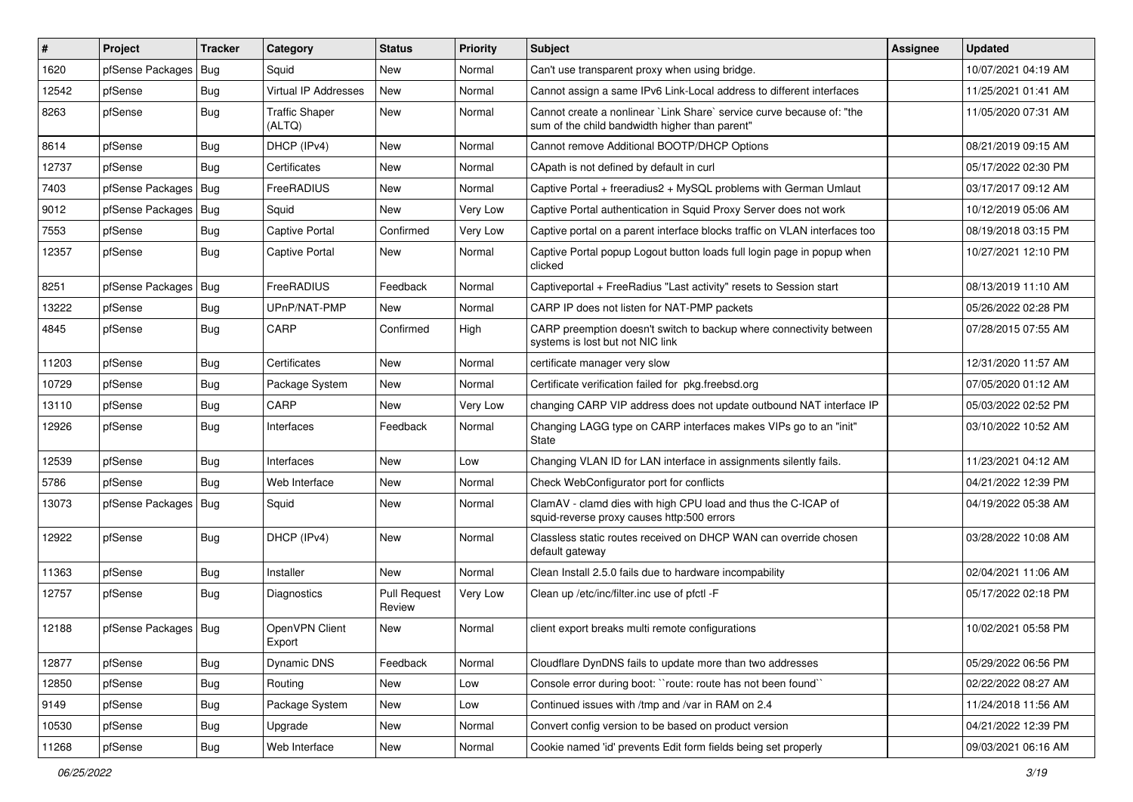| $\pmb{\sharp}$ | Project                | <b>Tracker</b> | Category                        | <b>Status</b>                 | Priority | Subject                                                                                                                 | Assignee | <b>Updated</b>      |
|----------------|------------------------|----------------|---------------------------------|-------------------------------|----------|-------------------------------------------------------------------------------------------------------------------------|----------|---------------------|
| 1620           | pfSense Packages       | <b>Bug</b>     | Squid                           | New                           | Normal   | Can't use transparent proxy when using bridge.                                                                          |          | 10/07/2021 04:19 AM |
| 12542          | pfSense                | Bug            | <b>Virtual IP Addresses</b>     | New                           | Normal   | Cannot assign a same IPv6 Link-Local address to different interfaces                                                    |          | 11/25/2021 01:41 AM |
| 8263           | pfSense                | Bug            | <b>Traffic Shaper</b><br>(ALTQ) | New                           | Normal   | Cannot create a nonlinear `Link Share` service curve because of: "the<br>sum of the child bandwidth higher than parent" |          | 11/05/2020 07:31 AM |
| 8614           | pfSense                | <b>Bug</b>     | DHCP (IPv4)                     | New                           | Normal   | Cannot remove Additional BOOTP/DHCP Options                                                                             |          | 08/21/2019 09:15 AM |
| 12737          | pfSense                | Bug            | Certificates                    | New                           | Normal   | CApath is not defined by default in curl                                                                                |          | 05/17/2022 02:30 PM |
| 7403           | pfSense Packages       | Bug            | FreeRADIUS                      | New                           | Normal   | Captive Portal + freeradius2 + MySQL problems with German Umlaut                                                        |          | 03/17/2017 09:12 AM |
| 9012           | pfSense Packages       | Bug            | Squid                           | <b>New</b>                    | Very Low | Captive Portal authentication in Squid Proxy Server does not work                                                       |          | 10/12/2019 05:06 AM |
| 7553           | pfSense                | Bug            | Captive Portal                  | Confirmed                     | Very Low | Captive portal on a parent interface blocks traffic on VLAN interfaces too                                              |          | 08/19/2018 03:15 PM |
| 12357          | pfSense                | Bug            | Captive Portal                  | New                           | Normal   | Captive Portal popup Logout button loads full login page in popup when<br>clicked                                       |          | 10/27/2021 12:10 PM |
| 8251           | pfSense Packages   Bug |                | FreeRADIUS                      | Feedback                      | Normal   | Captiveportal + FreeRadius "Last activity" resets to Session start                                                      |          | 08/13/2019 11:10 AM |
| 13222          | pfSense                | Bug            | UPnP/NAT-PMP                    | New                           | Normal   | CARP IP does not listen for NAT-PMP packets                                                                             |          | 05/26/2022 02:28 PM |
| 4845           | pfSense                | <b>Bug</b>     | CARP                            | Confirmed                     | High     | CARP preemption doesn't switch to backup where connectivity between<br>systems is lost but not NIC link                 |          | 07/28/2015 07:55 AM |
| 11203          | pfSense                | Bug            | Certificates                    | <b>New</b>                    | Normal   | certificate manager very slow                                                                                           |          | 12/31/2020 11:57 AM |
| 10729          | pfSense                | <b>Bug</b>     | Package System                  | New                           | Normal   | Certificate verification failed for pkg.freebsd.org                                                                     |          | 07/05/2020 01:12 AM |
| 13110          | pfSense                | <b>Bug</b>     | CARP                            | New                           | Very Low | changing CARP VIP address does not update outbound NAT interface IP                                                     |          | 05/03/2022 02:52 PM |
| 12926          | pfSense                | Bug            | Interfaces                      | Feedback                      | Normal   | Changing LAGG type on CARP interfaces makes VIPs go to an "init"<br><b>State</b>                                        |          | 03/10/2022 10:52 AM |
| 12539          | pfSense                | Bug            | Interfaces                      | New                           | Low      | Changing VLAN ID for LAN interface in assignments silently fails.                                                       |          | 11/23/2021 04:12 AM |
| 5786           | pfSense                | <b>Bug</b>     | Web Interface                   | New                           | Normal   | Check WebConfigurator port for conflicts                                                                                |          | 04/21/2022 12:39 PM |
| 13073          | pfSense Packages   Bug |                | Squid                           | New                           | Normal   | ClamAV - clamd dies with high CPU load and thus the C-ICAP of<br>squid-reverse proxy causes http:500 errors             |          | 04/19/2022 05:38 AM |
| 12922          | pfSense                | Bug            | DHCP (IPv4)                     | New                           | Normal   | Classless static routes received on DHCP WAN can override chosen<br>default gateway                                     |          | 03/28/2022 10:08 AM |
| 11363          | pfSense                | <b>Bug</b>     | Installer                       | New                           | Normal   | Clean Install 2.5.0 fails due to hardware incompability                                                                 |          | 02/04/2021 11:06 AM |
| 12757          | pfSense                | Bug            | Diagnostics                     | <b>Pull Request</b><br>Review | Very Low | Clean up /etc/inc/filter.inc use of pfctl -F                                                                            |          | 05/17/2022 02:18 PM |
| 12188          | pfSense Packages   Bug |                | OpenVPN Client<br>Export        | New                           | Normal   | client export breaks multi remote configurations                                                                        |          | 10/02/2021 05:58 PM |
| 12877          | pfSense                | Bug            | Dynamic DNS                     | Feedback                      | Normal   | Cloudflare DynDNS fails to update more than two addresses                                                               |          | 05/29/2022 06:56 PM |
| 12850          | pfSense                | <b>Bug</b>     | Routing                         | New                           | Low      | Console error during boot: "route: route has not been found"                                                            |          | 02/22/2022 08:27 AM |
| 9149           | pfSense                | Bug            | Package System                  | New                           | Low      | Continued issues with /tmp and /var in RAM on 2.4                                                                       |          | 11/24/2018 11:56 AM |
| 10530          | pfSense                | <b>Bug</b>     | Upgrade                         | New                           | Normal   | Convert config version to be based on product version                                                                   |          | 04/21/2022 12:39 PM |
| 11268          | pfSense                | Bug            | Web Interface                   | New                           | Normal   | Cookie named 'id' prevents Edit form fields being set properly                                                          |          | 09/03/2021 06:16 AM |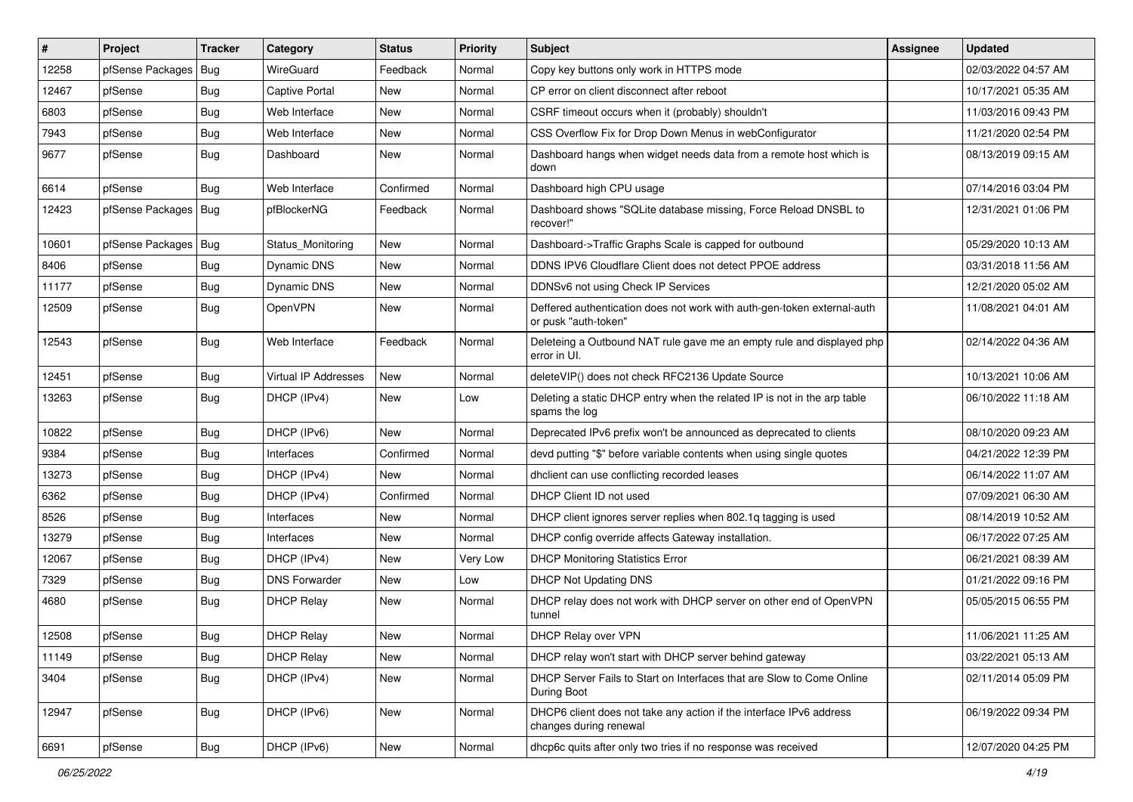| #     | Project                | Tracker    | Category                    | <b>Status</b> | <b>Priority</b> | <b>Subject</b>                                                                                  | <b>Assignee</b> | <b>Updated</b>      |
|-------|------------------------|------------|-----------------------------|---------------|-----------------|-------------------------------------------------------------------------------------------------|-----------------|---------------------|
| 12258 | pfSense Packages       | Bug        | WireGuard                   | Feedback      | Normal          | Copy key buttons only work in HTTPS mode                                                        |                 | 02/03/2022 04:57 AM |
| 12467 | pfSense                | <b>Bug</b> | <b>Captive Portal</b>       | <b>New</b>    | Normal          | CP error on client disconnect after reboot                                                      |                 | 10/17/2021 05:35 AM |
| 6803  | pfSense                | <b>Bug</b> | Web Interface               | New           | Normal          | CSRF timeout occurs when it (probably) shouldn't                                                |                 | 11/03/2016 09:43 PM |
| 7943  | pfSense                | <b>Bug</b> | Web Interface               | New           | Normal          | CSS Overflow Fix for Drop Down Menus in webConfigurator                                         |                 | 11/21/2020 02:54 PM |
| 9677  | pfSense                | <b>Bug</b> | Dashboard                   | New           | Normal          | Dashboard hangs when widget needs data from a remote host which is<br>down                      |                 | 08/13/2019 09:15 AM |
| 6614  | pfSense                | <b>Bug</b> | Web Interface               | Confirmed     | Normal          | Dashboard high CPU usage                                                                        |                 | 07/14/2016 03:04 PM |
| 12423 | pfSense Packages       | <b>Bug</b> | pfBlockerNG                 | Feedback      | Normal          | Dashboard shows "SQLite database missing, Force Reload DNSBL to<br>recover!"                    |                 | 12/31/2021 01:06 PM |
| 10601 | pfSense Packages   Bug |            | Status Monitoring           | <b>New</b>    | Normal          | Dashboard->Traffic Graphs Scale is capped for outbound                                          |                 | 05/29/2020 10:13 AM |
| 8406  | pfSense                | <b>Bug</b> | Dynamic DNS                 | New           | Normal          | DDNS IPV6 Cloudflare Client does not detect PPOE address                                        |                 | 03/31/2018 11:56 AM |
| 11177 | pfSense                | <b>Bug</b> | Dynamic DNS                 | New           | Normal          | DDNSv6 not using Check IP Services                                                              |                 | 12/21/2020 05:02 AM |
| 12509 | pfSense                | <b>Bug</b> | OpenVPN                     | New           | Normal          | Deffered authentication does not work with auth-gen-token external-auth<br>or pusk "auth-token" |                 | 11/08/2021 04:01 AM |
| 12543 | pfSense                | <b>Bug</b> | Web Interface               | Feedback      | Normal          | Deleteing a Outbound NAT rule gave me an empty rule and displayed php<br>error in UI.           |                 | 02/14/2022 04:36 AM |
| 12451 | pfSense                | <b>Bug</b> | <b>Virtual IP Addresses</b> | New           | Normal          | deleteVIP() does not check RFC2136 Update Source                                                |                 | 10/13/2021 10:06 AM |
| 13263 | pfSense                | <b>Bug</b> | DHCP (IPv4)                 | <b>New</b>    | Low             | Deleting a static DHCP entry when the related IP is not in the arp table<br>spams the log       |                 | 06/10/2022 11:18 AM |
| 10822 | pfSense                | <b>Bug</b> | DHCP (IPv6)                 | <b>New</b>    | Normal          | Deprecated IPv6 prefix won't be announced as deprecated to clients                              |                 | 08/10/2020 09:23 AM |
| 9384  | pfSense                | <b>Bug</b> | Interfaces                  | Confirmed     | Normal          | devd putting "\$" before variable contents when using single quotes                             |                 | 04/21/2022 12:39 PM |
| 13273 | pfSense                | <b>Bug</b> | DHCP (IPv4)                 | <b>New</b>    | Normal          | dhclient can use conflicting recorded leases                                                    |                 | 06/14/2022 11:07 AM |
| 6362  | pfSense                | <b>Bug</b> | DHCP (IPv4)                 | Confirmed     | Normal          | DHCP Client ID not used                                                                         |                 | 07/09/2021 06:30 AM |
| 8526  | pfSense                | <b>Bug</b> | Interfaces                  | <b>New</b>    | Normal          | DHCP client ignores server replies when 802.1q tagging is used                                  |                 | 08/14/2019 10:52 AM |
| 13279 | pfSense                | <b>Bug</b> | Interfaces                  | New           | Normal          | DHCP config override affects Gateway installation.                                              |                 | 06/17/2022 07:25 AM |
| 12067 | pfSense                | <b>Bug</b> | DHCP (IPv4)                 | <b>New</b>    | Very Low        | <b>DHCP Monitoring Statistics Error</b>                                                         |                 | 06/21/2021 08:39 AM |
| 7329  | pfSense                | <b>Bug</b> | <b>DNS Forwarder</b>        | New           | Low             | DHCP Not Updating DNS                                                                           |                 | 01/21/2022 09:16 PM |
| 4680  | pfSense                | <b>Bug</b> | <b>DHCP Relay</b>           | New           | Normal          | DHCP relay does not work with DHCP server on other end of OpenVPN<br>tunnel                     |                 | 05/05/2015 06:55 PM |
| 12508 | pfSense                | <b>Bug</b> | <b>DHCP Relay</b>           | New           | Normal          | DHCP Relay over VPN                                                                             |                 | 11/06/2021 11:25 AM |
| 11149 | pfSense                | <b>Bug</b> | <b>DHCP Relay</b>           | New           | Normal          | DHCP relay won't start with DHCP server behind gateway                                          |                 | 03/22/2021 05:13 AM |
| 3404  | pfSense                | <b>Bug</b> | DHCP (IPv4)                 | New           | Normal          | DHCP Server Fails to Start on Interfaces that are Slow to Come Online<br>During Boot            |                 | 02/11/2014 05:09 PM |
| 12947 | pfSense                | <b>Bug</b> | DHCP (IPv6)                 | New           | Normal          | DHCP6 client does not take any action if the interface IPv6 address<br>changes during renewal   |                 | 06/19/2022 09:34 PM |
| 6691  | pfSense                | Bug        | DHCP (IPv6)                 | New           | Normal          | dhcp6c quits after only two tries if no response was received                                   |                 | 12/07/2020 04:25 PM |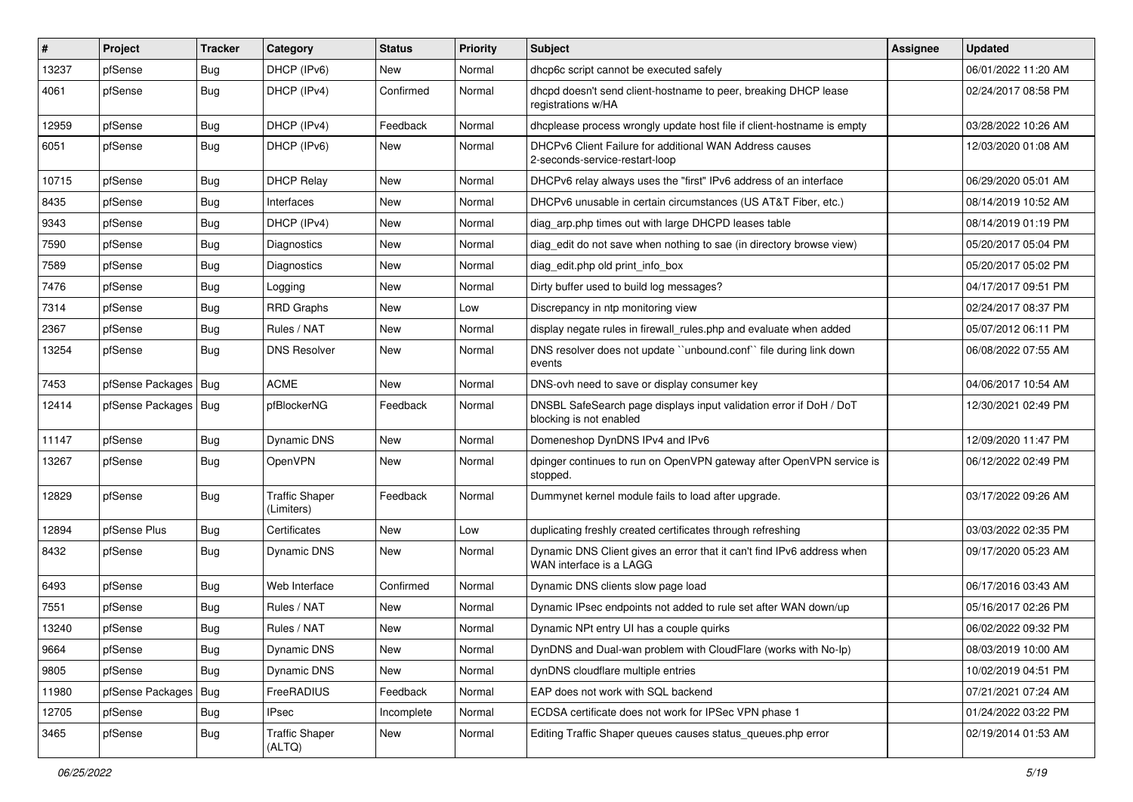| #     | Project                | <b>Tracker</b> | Category                            | <b>Status</b> | <b>Priority</b> | <b>Subject</b>                                                                                    | <b>Assignee</b> | <b>Updated</b>      |
|-------|------------------------|----------------|-------------------------------------|---------------|-----------------|---------------------------------------------------------------------------------------------------|-----------------|---------------------|
| 13237 | pfSense                | <b>Bug</b>     | DHCP (IPv6)                         | New           | Normal          | dhcp6c script cannot be executed safely                                                           |                 | 06/01/2022 11:20 AM |
| 4061  | pfSense                | <b>Bug</b>     | DHCP (IPv4)                         | Confirmed     | Normal          | dhcpd doesn't send client-hostname to peer, breaking DHCP lease<br>registrations w/HA             |                 | 02/24/2017 08:58 PM |
| 12959 | pfSense                | <b>Bug</b>     | DHCP (IPv4)                         | Feedback      | Normal          | dhcplease process wrongly update host file if client-hostname is empty                            |                 | 03/28/2022 10:26 AM |
| 6051  | pfSense                | <b>Bug</b>     | DHCP (IPv6)                         | New           | Normal          | DHCPv6 Client Failure for additional WAN Address causes<br>2-seconds-service-restart-loop         |                 | 12/03/2020 01:08 AM |
| 10715 | pfSense                | <b>Bug</b>     | <b>DHCP Relay</b>                   | <b>New</b>    | Normal          | DHCPv6 relay always uses the "first" IPv6 address of an interface                                 |                 | 06/29/2020 05:01 AM |
| 8435  | pfSense                | <b>Bug</b>     | Interfaces                          | <b>New</b>    | Normal          | DHCPv6 unusable in certain circumstances (US AT&T Fiber, etc.)                                    |                 | 08/14/2019 10:52 AM |
| 9343  | pfSense                | <b>Bug</b>     | DHCP (IPv4)                         | New           | Normal          | diag arp.php times out with large DHCPD leases table                                              |                 | 08/14/2019 01:19 PM |
| 7590  | pfSense                | <b>Bug</b>     | Diagnostics                         | <b>New</b>    | Normal          | diag edit do not save when nothing to sae (in directory browse view)                              |                 | 05/20/2017 05:04 PM |
| 7589  | pfSense                | <b>Bug</b>     | Diagnostics                         | New           | Normal          | diag edit.php old print info box                                                                  |                 | 05/20/2017 05:02 PM |
| 7476  | pfSense                | Bug            | Logging                             | New           | Normal          | Dirty buffer used to build log messages?                                                          |                 | 04/17/2017 09:51 PM |
| 7314  | pfSense                | <b>Bug</b>     | <b>RRD Graphs</b>                   | New           | Low             | Discrepancy in ntp monitoring view                                                                |                 | 02/24/2017 08:37 PM |
| 2367  | pfSense                | <b>Bug</b>     | Rules / NAT                         | New           | Normal          | display negate rules in firewall rules php and evaluate when added                                |                 | 05/07/2012 06:11 PM |
| 13254 | pfSense                | <b>Bug</b>     | <b>DNS Resolver</b>                 | New           | Normal          | DNS resolver does not update "unbound.conf" file during link down<br>events                       |                 | 06/08/2022 07:55 AM |
| 7453  | pfSense Packages   Bug |                | <b>ACME</b>                         | <b>New</b>    | Normal          | DNS-ovh need to save or display consumer key                                                      |                 | 04/06/2017 10:54 AM |
| 12414 | pfSense Packages   Bug |                | pfBlockerNG                         | Feedback      | Normal          | DNSBL SafeSearch page displays input validation error if DoH / DoT<br>blocking is not enabled     |                 | 12/30/2021 02:49 PM |
| 11147 | pfSense                | <b>Bug</b>     | Dynamic DNS                         | <b>New</b>    | Normal          | Domeneshop DynDNS IPv4 and IPv6                                                                   |                 | 12/09/2020 11:47 PM |
| 13267 | pfSense                | <b>Bug</b>     | OpenVPN                             | <b>New</b>    | Normal          | dpinger continues to run on OpenVPN gateway after OpenVPN service is<br>stopped.                  |                 | 06/12/2022 02:49 PM |
| 12829 | pfSense                | <b>Bug</b>     | <b>Traffic Shaper</b><br>(Limiters) | Feedback      | Normal          | Dummynet kernel module fails to load after upgrade.                                               |                 | 03/17/2022 09:26 AM |
| 12894 | pfSense Plus           | <b>Bug</b>     | Certificates                        | New           | Low             | duplicating freshly created certificates through refreshing                                       |                 | 03/03/2022 02:35 PM |
| 8432  | pfSense                | <b>Bug</b>     | Dynamic DNS                         | New           | Normal          | Dynamic DNS Client gives an error that it can't find IPv6 address when<br>WAN interface is a LAGG |                 | 09/17/2020 05:23 AM |
| 6493  | pfSense                | <b>Bug</b>     | Web Interface                       | Confirmed     | Normal          | Dynamic DNS clients slow page load                                                                |                 | 06/17/2016 03:43 AM |
| 7551  | pfSense                | <b>Bug</b>     | Rules / NAT                         | New           | Normal          | Dynamic IPsec endpoints not added to rule set after WAN down/up                                   |                 | 05/16/2017 02:26 PM |
| 13240 | pfSense                | <b>Bug</b>     | Rules / NAT                         | New           | Normal          | Dynamic NPt entry UI has a couple quirks                                                          |                 | 06/02/2022 09:32 PM |
| 9664  | pfSense                | <b>Bug</b>     | Dynamic DNS                         | New           | Normal          | DynDNS and Dual-wan problem with CloudFlare (works with No-Ip)                                    |                 | 08/03/2019 10:00 AM |
| 9805  | pfSense                | <b>Bug</b>     | Dynamic DNS                         | New           | Normal          | dynDNS cloudflare multiple entries                                                                |                 | 10/02/2019 04:51 PM |
| 11980 | pfSense Packages       | <b>Bug</b>     | FreeRADIUS                          | Feedback      | Normal          | EAP does not work with SQL backend                                                                |                 | 07/21/2021 07:24 AM |
| 12705 | pfSense                | <b>Bug</b>     | <b>IPsec</b>                        | Incomplete    | Normal          | ECDSA certificate does not work for IPSec VPN phase 1                                             |                 | 01/24/2022 03:22 PM |
| 3465  | pfSense                | <b>Bug</b>     | <b>Traffic Shaper</b><br>(ALTQ)     | New           | Normal          | Editing Traffic Shaper queues causes status_queues.php error                                      |                 | 02/19/2014 01:53 AM |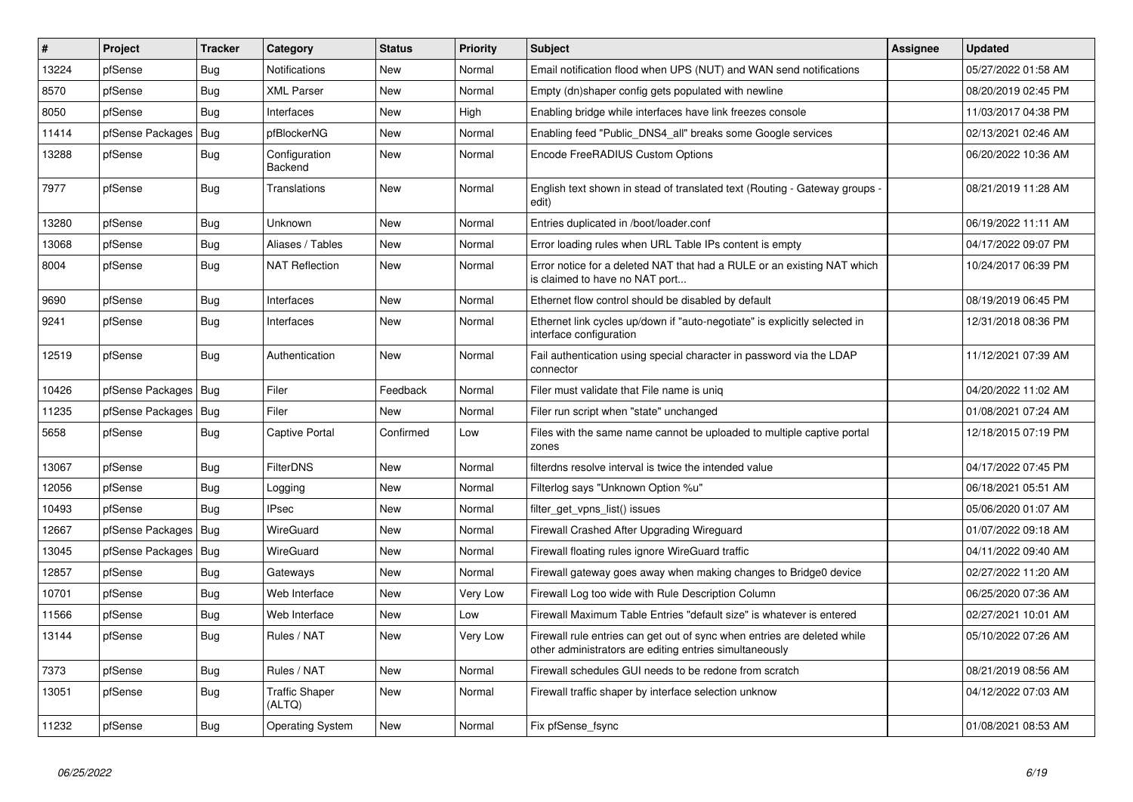| $\pmb{\#}$ | Project                | <b>Tracker</b> | Category                        | <b>Status</b> | <b>Priority</b> | <b>Subject</b>                                                                                                                      | <b>Assignee</b> | <b>Updated</b>      |
|------------|------------------------|----------------|---------------------------------|---------------|-----------------|-------------------------------------------------------------------------------------------------------------------------------------|-----------------|---------------------|
| 13224      | pfSense                | <b>Bug</b>     | Notifications                   | New           | Normal          | Email notification flood when UPS (NUT) and WAN send notifications                                                                  |                 | 05/27/2022 01:58 AM |
| 8570       | pfSense                | <b>Bug</b>     | <b>XML Parser</b>               | New           | Normal          | Empty (dn)shaper config gets populated with newline                                                                                 |                 | 08/20/2019 02:45 PM |
| 8050       | pfSense                | Bug            | Interfaces                      | New           | High            | Enabling bridge while interfaces have link freezes console                                                                          |                 | 11/03/2017 04:38 PM |
| 11414      | pfSense Packages       | <b>Bug</b>     | pfBlockerNG                     | New           | Normal          | Enabling feed "Public DNS4 all" breaks some Google services                                                                         |                 | 02/13/2021 02:46 AM |
| 13288      | pfSense                | Bug            | Configuration<br>Backend        | New           | Normal          | Encode FreeRADIUS Custom Options                                                                                                    |                 | 06/20/2022 10:36 AM |
| 7977       | pfSense                | Bug            | Translations                    | New           | Normal          | English text shown in stead of translated text (Routing - Gateway groups -<br>edit)                                                 |                 | 08/21/2019 11:28 AM |
| 13280      | pfSense                | Bug            | Unknown                         | New           | Normal          | Entries duplicated in /boot/loader.conf                                                                                             |                 | 06/19/2022 11:11 AM |
| 13068      | pfSense                | <b>Bug</b>     | Aliases / Tables                | New           | Normal          | Error loading rules when URL Table IPs content is empty                                                                             |                 | 04/17/2022 09:07 PM |
| 8004       | pfSense                | <b>Bug</b>     | <b>NAT Reflection</b>           | New           | Normal          | Error notice for a deleted NAT that had a RULE or an existing NAT which<br>is claimed to have no NAT port                           |                 | 10/24/2017 06:39 PM |
| 9690       | pfSense                | <b>Bug</b>     | Interfaces                      | New           | Normal          | Ethernet flow control should be disabled by default                                                                                 |                 | 08/19/2019 06:45 PM |
| 9241       | pfSense                | <b>Bug</b>     | Interfaces                      | New           | Normal          | Ethernet link cycles up/down if "auto-negotiate" is explicitly selected in<br>interface configuration                               |                 | 12/31/2018 08:36 PM |
| 12519      | pfSense                | <b>Bug</b>     | Authentication                  | New           | Normal          | Fail authentication using special character in password via the LDAP<br>connector                                                   |                 | 11/12/2021 07:39 AM |
| 10426      | pfSense Packages   Bug |                | Filer                           | Feedback      | Normal          | Filer must validate that File name is uniq                                                                                          |                 | 04/20/2022 11:02 AM |
| 11235      | pfSense Packages   Bug |                | Filer                           | New           | Normal          | Filer run script when "state" unchanged                                                                                             |                 | 01/08/2021 07:24 AM |
| 5658       | pfSense                | Bug            | Captive Portal                  | Confirmed     | Low             | Files with the same name cannot be uploaded to multiple captive portal<br>zones                                                     |                 | 12/18/2015 07:19 PM |
| 13067      | pfSense                | <b>Bug</b>     | <b>FilterDNS</b>                | New           | Normal          | filterdns resolve interval is twice the intended value                                                                              |                 | 04/17/2022 07:45 PM |
| 12056      | pfSense                | <b>Bug</b>     | Logging                         | New           | Normal          | Filterlog says "Unknown Option %u"                                                                                                  |                 | 06/18/2021 05:51 AM |
| 10493      | pfSense                | Bug            | <b>IPsec</b>                    | <b>New</b>    | Normal          | filter_get_vpns_list() issues                                                                                                       |                 | 05/06/2020 01:07 AM |
| 12667      | pfSense Packages   Bug |                | WireGuard                       | New           | Normal          | Firewall Crashed After Upgrading Wireguard                                                                                          |                 | 01/07/2022 09:18 AM |
| 13045      | pfSense Packages   Bug |                | WireGuard                       | New           | Normal          | Firewall floating rules ignore WireGuard traffic                                                                                    |                 | 04/11/2022 09:40 AM |
| 12857      | pfSense                | Bug            | Gateways                        | New           | Normal          | Firewall gateway goes away when making changes to Bridge0 device                                                                    |                 | 02/27/2022 11:20 AM |
| 10701      | pfSense                | Bug            | Web Interface                   | New           | Very Low        | Firewall Log too wide with Rule Description Column                                                                                  |                 | 06/25/2020 07:36 AM |
| 11566      | pfSense                | <b>Bug</b>     | Web Interface                   | New           | Low             | Firewall Maximum Table Entries "default size" is whatever is entered                                                                |                 | 02/27/2021 10:01 AM |
| 13144      | pfSense                | Bug            | Rules / NAT                     | New           | Very Low        | Firewall rule entries can get out of sync when entries are deleted while<br>other administrators are editing entries simultaneously |                 | 05/10/2022 07:26 AM |
| 7373       | pfSense                | <b>Bug</b>     | Rules / NAT                     | <b>New</b>    | Normal          | Firewall schedules GUI needs to be redone from scratch                                                                              |                 | 08/21/2019 08:56 AM |
| 13051      | pfSense                | Bug            | <b>Traffic Shaper</b><br>(ALTQ) | New           | Normal          | Firewall traffic shaper by interface selection unknow                                                                               |                 | 04/12/2022 07:03 AM |
| 11232      | pfSense                | Bug            | <b>Operating System</b>         | New           | Normal          | Fix pfSense fsync                                                                                                                   |                 | 01/08/2021 08:53 AM |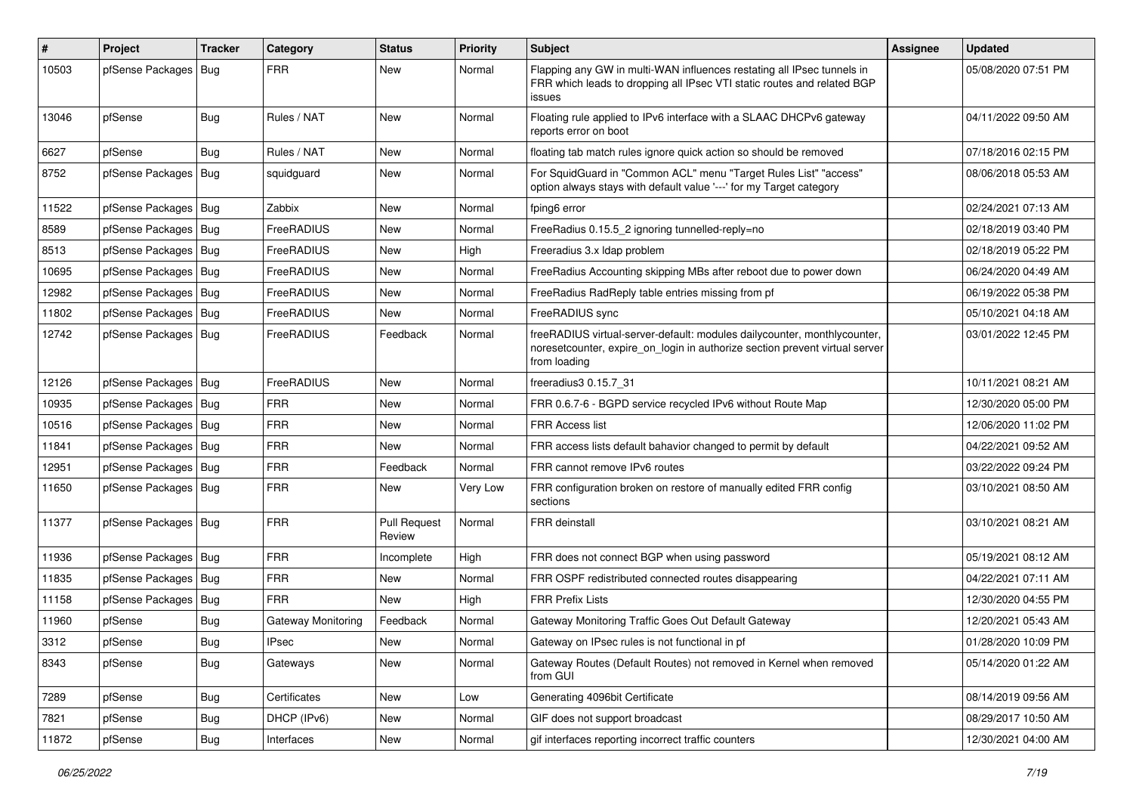| #     | Project                | <b>Tracker</b> | Category           | <b>Status</b>                 | <b>Priority</b> | <b>Subject</b>                                                                                                                                                          | Assignee | <b>Updated</b>      |
|-------|------------------------|----------------|--------------------|-------------------------------|-----------------|-------------------------------------------------------------------------------------------------------------------------------------------------------------------------|----------|---------------------|
| 10503 | pfSense Packages   Bug |                | <b>FRR</b>         | <b>New</b>                    | Normal          | Flapping any GW in multi-WAN influences restating all IPsec tunnels in<br>FRR which leads to dropping all IPsec VTI static routes and related BGP<br>issues             |          | 05/08/2020 07:51 PM |
| 13046 | pfSense                | <b>Bug</b>     | Rules / NAT        | New                           | Normal          | Floating rule applied to IPv6 interface with a SLAAC DHCPv6 gateway<br>reports error on boot                                                                            |          | 04/11/2022 09:50 AM |
| 6627  | pfSense                | <b>Bug</b>     | Rules / NAT        | New                           | Normal          | floating tab match rules ignore quick action so should be removed                                                                                                       |          | 07/18/2016 02:15 PM |
| 8752  | pfSense Packages   Bug |                | squidguard         | New                           | Normal          | For SquidGuard in "Common ACL" menu "Target Rules List" "access"<br>option always stays with default value '---' for my Target category                                 |          | 08/06/2018 05:53 AM |
| 11522 | pfSense Packages   Bug |                | Zabbix             | <b>New</b>                    | Normal          | fping6 error                                                                                                                                                            |          | 02/24/2021 07:13 AM |
| 8589  | pfSense Packages   Bug |                | FreeRADIUS         | <b>New</b>                    | Normal          | FreeRadius 0.15.5 2 ignoring tunnelled-reply=no                                                                                                                         |          | 02/18/2019 03:40 PM |
| 8513  | pfSense Packages   Bug |                | FreeRADIUS         | New                           | High            | Freeradius 3.x Idap problem                                                                                                                                             |          | 02/18/2019 05:22 PM |
| 10695 | pfSense Packages   Bug |                | FreeRADIUS         | New                           | Normal          | FreeRadius Accounting skipping MBs after reboot due to power down                                                                                                       |          | 06/24/2020 04:49 AM |
| 12982 | pfSense Packages   Bug |                | FreeRADIUS         | <b>New</b>                    | Normal          | FreeRadius RadReply table entries missing from pf                                                                                                                       |          | 06/19/2022 05:38 PM |
| 11802 | pfSense Packages   Bug |                | FreeRADIUS         | New                           | Normal          | FreeRADIUS sync                                                                                                                                                         |          | 05/10/2021 04:18 AM |
| 12742 | pfSense Packages   Bug |                | FreeRADIUS         | Feedback                      | Normal          | freeRADIUS virtual-server-default: modules dailycounter, monthlycounter,<br>noresetcounter, expire on login in authorize section prevent virtual server<br>from loading |          | 03/01/2022 12:45 PM |
| 12126 | pfSense Packages   Bug |                | FreeRADIUS         | <b>New</b>                    | Normal          | freeradius3 0.15.7 31                                                                                                                                                   |          | 10/11/2021 08:21 AM |
| 10935 | pfSense Packages   Bug |                | <b>FRR</b>         | New                           | Normal          | FRR 0.6.7-6 - BGPD service recycled IPv6 without Route Map                                                                                                              |          | 12/30/2020 05:00 PM |
| 10516 | pfSense Packages   Bug |                | <b>FRR</b>         | New                           | Normal          | <b>FRR Access list</b>                                                                                                                                                  |          | 12/06/2020 11:02 PM |
| 11841 | pfSense Packages   Bug |                | <b>FRR</b>         | <b>New</b>                    | Normal          | FRR access lists default bahavior changed to permit by default                                                                                                          |          | 04/22/2021 09:52 AM |
| 12951 | pfSense Packages   Bug |                | <b>FRR</b>         | Feedback                      | Normal          | FRR cannot remove IPv6 routes                                                                                                                                           |          | 03/22/2022 09:24 PM |
| 11650 | pfSense Packages   Bug |                | <b>FRR</b>         | <b>New</b>                    | Very Low        | FRR configuration broken on restore of manually edited FRR config<br>sections                                                                                           |          | 03/10/2021 08:50 AM |
| 11377 | pfSense Packages   Bug |                | <b>FRR</b>         | <b>Pull Request</b><br>Review | Normal          | FRR deinstall                                                                                                                                                           |          | 03/10/2021 08:21 AM |
| 11936 | pfSense Packages   Bug |                | <b>FRR</b>         | Incomplete                    | High            | FRR does not connect BGP when using password                                                                                                                            |          | 05/19/2021 08:12 AM |
| 11835 | pfSense Packages   Bug |                | <b>FRR</b>         | New                           | Normal          | FRR OSPF redistributed connected routes disappearing                                                                                                                    |          | 04/22/2021 07:11 AM |
| 11158 | pfSense Packages       | Bug            | <b>FRR</b>         | New                           | High            | <b>FRR Prefix Lists</b>                                                                                                                                                 |          | 12/30/2020 04:55 PM |
| 11960 | pfSense                | Bug            | Gateway Monitoring | Feedback                      | Normal          | Gateway Monitoring Traffic Goes Out Default Gateway                                                                                                                     |          | 12/20/2021 05:43 AM |
| 3312  | pfSense                | Bug            | IPsec              | New                           | Normal          | Gateway on IPsec rules is not functional in pf                                                                                                                          |          | 01/28/2020 10:09 PM |
| 8343  | pfSense                | <b>Bug</b>     | Gateways           | New                           | Normal          | Gateway Routes (Default Routes) not removed in Kernel when removed<br>from GUI                                                                                          |          | 05/14/2020 01:22 AM |
| 7289  | pfSense                | <b>Bug</b>     | Certificates       | New                           | Low             | Generating 4096bit Certificate                                                                                                                                          |          | 08/14/2019 09:56 AM |
| 7821  | pfSense                | <b>Bug</b>     | DHCP (IPv6)        | New                           | Normal          | GIF does not support broadcast                                                                                                                                          |          | 08/29/2017 10:50 AM |
| 11872 | pfSense                | <b>Bug</b>     | Interfaces         | New                           | Normal          | gif interfaces reporting incorrect traffic counters                                                                                                                     |          | 12/30/2021 04:00 AM |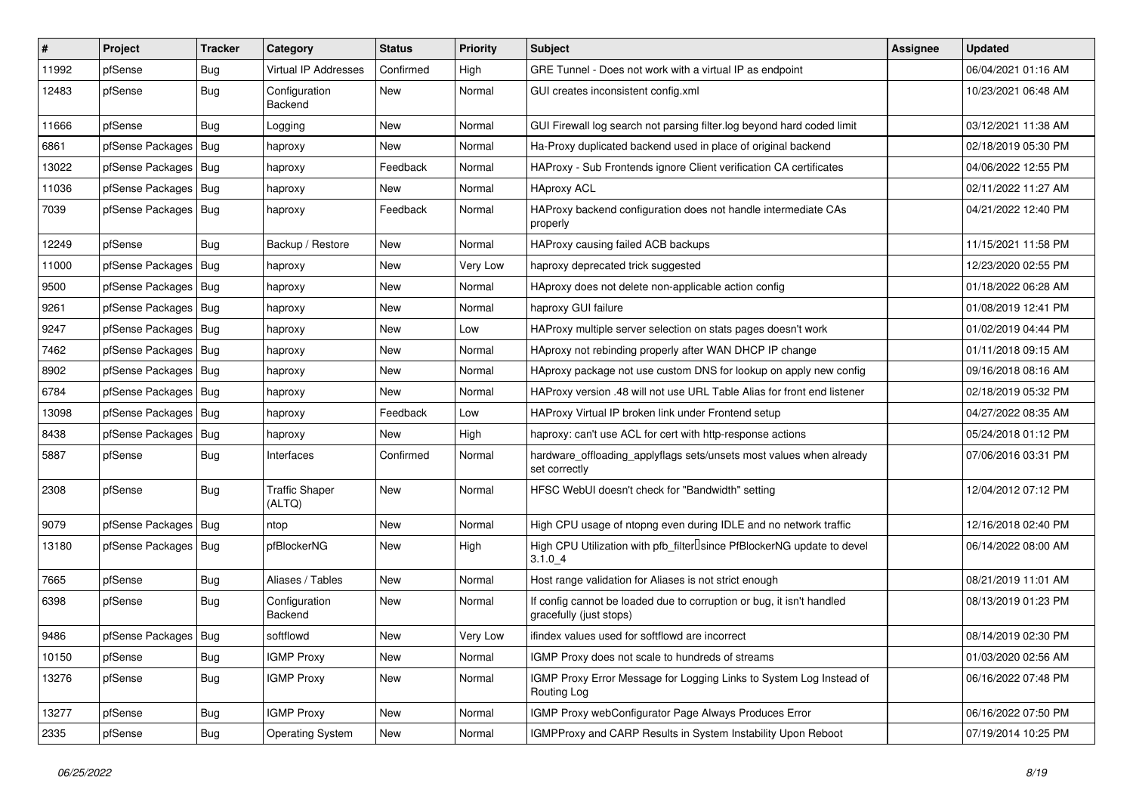| $\vert$ # | Project                | <b>Tracker</b> | Category                        | <b>Status</b> | <b>Priority</b> | Subject                                                                                          | Assignee | <b>Updated</b>      |
|-----------|------------------------|----------------|---------------------------------|---------------|-----------------|--------------------------------------------------------------------------------------------------|----------|---------------------|
| 11992     | pfSense                | <b>Bug</b>     | <b>Virtual IP Addresses</b>     | Confirmed     | High            | GRE Tunnel - Does not work with a virtual IP as endpoint                                         |          | 06/04/2021 01:16 AM |
| 12483     | pfSense                | <b>Bug</b>     | Configuration<br>Backend        | New           | Normal          | GUI creates inconsistent config.xml                                                              |          | 10/23/2021 06:48 AM |
| 11666     | pfSense                | <b>Bug</b>     | Logging                         | New           | Normal          | GUI Firewall log search not parsing filter.log beyond hard coded limit                           |          | 03/12/2021 11:38 AM |
| 6861      | pfSense Packages       | Bug            | haproxy                         | New           | Normal          | Ha-Proxy duplicated backend used in place of original backend                                    |          | 02/18/2019 05:30 PM |
| 13022     | pfSense Packages       | Bug            | haproxy                         | Feedback      | Normal          | HAProxy - Sub Frontends ignore Client verification CA certificates                               |          | 04/06/2022 12:55 PM |
| 11036     | pfSense Packages   Bug |                | haproxy                         | New           | Normal          | <b>HAproxy ACL</b>                                                                               |          | 02/11/2022 11:27 AM |
| 7039      | pfSense Packages   Bug |                | haproxy                         | Feedback      | Normal          | HAProxy backend configuration does not handle intermediate CAs<br>properly                       |          | 04/21/2022 12:40 PM |
| 12249     | pfSense                | <b>Bug</b>     | Backup / Restore                | <b>New</b>    | Normal          | HAProxy causing failed ACB backups                                                               |          | 11/15/2021 11:58 PM |
| 11000     | pfSense Packages       | Bug            | haproxy                         | New           | Very Low        | haproxy deprecated trick suggested                                                               |          | 12/23/2020 02:55 PM |
| 9500      | pfSense Packages   Bug |                | haproxy                         | New           | Normal          | HAproxy does not delete non-applicable action config                                             |          | 01/18/2022 06:28 AM |
| 9261      | pfSense Packages   Bug |                | haproxy                         | New           | Normal          | haproxy GUI failure                                                                              |          | 01/08/2019 12:41 PM |
| 9247      | pfSense Packages   Bug |                | haproxy                         | New           | Low             | HAProxy multiple server selection on stats pages doesn't work                                    |          | 01/02/2019 04:44 PM |
| 7462      | pfSense Packages   Bug |                | haproxy                         | New           | Normal          | HAproxy not rebinding properly after WAN DHCP IP change                                          |          | 01/11/2018 09:15 AM |
| 8902      | pfSense Packages   Bug |                | haproxy                         | New           | Normal          | HAproxy package not use custom DNS for lookup on apply new config                                |          | 09/16/2018 08:16 AM |
| 6784      | pfSense Packages   Bug |                | haproxy                         | New           | Normal          | HAProxy version .48 will not use URL Table Alias for front end listener                          |          | 02/18/2019 05:32 PM |
| 13098     | pfSense Packages   Bug |                | haproxy                         | Feedback      | Low             | HAProxy Virtual IP broken link under Frontend setup                                              |          | 04/27/2022 08:35 AM |
| 8438      | pfSense Packages       | Bug            | haproxy                         | New           | High            | haproxy: can't use ACL for cert with http-response actions                                       |          | 05/24/2018 01:12 PM |
| 5887      | pfSense                | <b>Bug</b>     | Interfaces                      | Confirmed     | Normal          | hardware_offloading_applyflags sets/unsets most values when already<br>set correctly             |          | 07/06/2016 03:31 PM |
| 2308      | pfSense                | <b>Bug</b>     | <b>Traffic Shaper</b><br>(ALTQ) | New           | Normal          | HFSC WebUI doesn't check for "Bandwidth" setting                                                 |          | 12/04/2012 07:12 PM |
| 9079      | pfSense Packages       | Bug            | ntop                            | <b>New</b>    | Normal          | High CPU usage of ntopng even during IDLE and no network traffic                                 |          | 12/16/2018 02:40 PM |
| 13180     | pfSense Packages   Bug |                | pfBlockerNG                     | New           | High            | High CPU Utilization with pfb_filterLsince PfBlockerNG update to devel<br>3.1.04                 |          | 06/14/2022 08:00 AM |
| 7665      | pfSense                | <b>Bug</b>     | Aliases / Tables                | New           | Normal          | Host range validation for Aliases is not strict enough                                           |          | 08/21/2019 11:01 AM |
| 6398      | pfSense                | <b>Bug</b>     | Configuration<br><b>Backend</b> | New           | Normal          | If config cannot be loaded due to corruption or bug, it isn't handled<br>gracefully (just stops) |          | 08/13/2019 01:23 PM |
| 9486      | pfSense Packages   Bug |                | softflowd                       | New           | Very Low        | ifindex values used for softflowd are incorrect                                                  |          | 08/14/2019 02:30 PM |
| 10150     | pfSense                | Bug            | <b>IGMP Proxy</b>               | New           | Normal          | IGMP Proxy does not scale to hundreds of streams                                                 |          | 01/03/2020 02:56 AM |
| 13276     | pfSense                | <b>Bug</b>     | <b>IGMP Proxy</b>               | New           | Normal          | IGMP Proxy Error Message for Logging Links to System Log Instead of<br>Routing Log               |          | 06/16/2022 07:48 PM |
| 13277     | pfSense                | <b>Bug</b>     | <b>IGMP Proxy</b>               | New           | Normal          | IGMP Proxy webConfigurator Page Always Produces Error                                            |          | 06/16/2022 07:50 PM |
| 2335      | pfSense                | <b>Bug</b>     | <b>Operating System</b>         | New           | Normal          | IGMPProxy and CARP Results in System Instability Upon Reboot                                     |          | 07/19/2014 10:25 PM |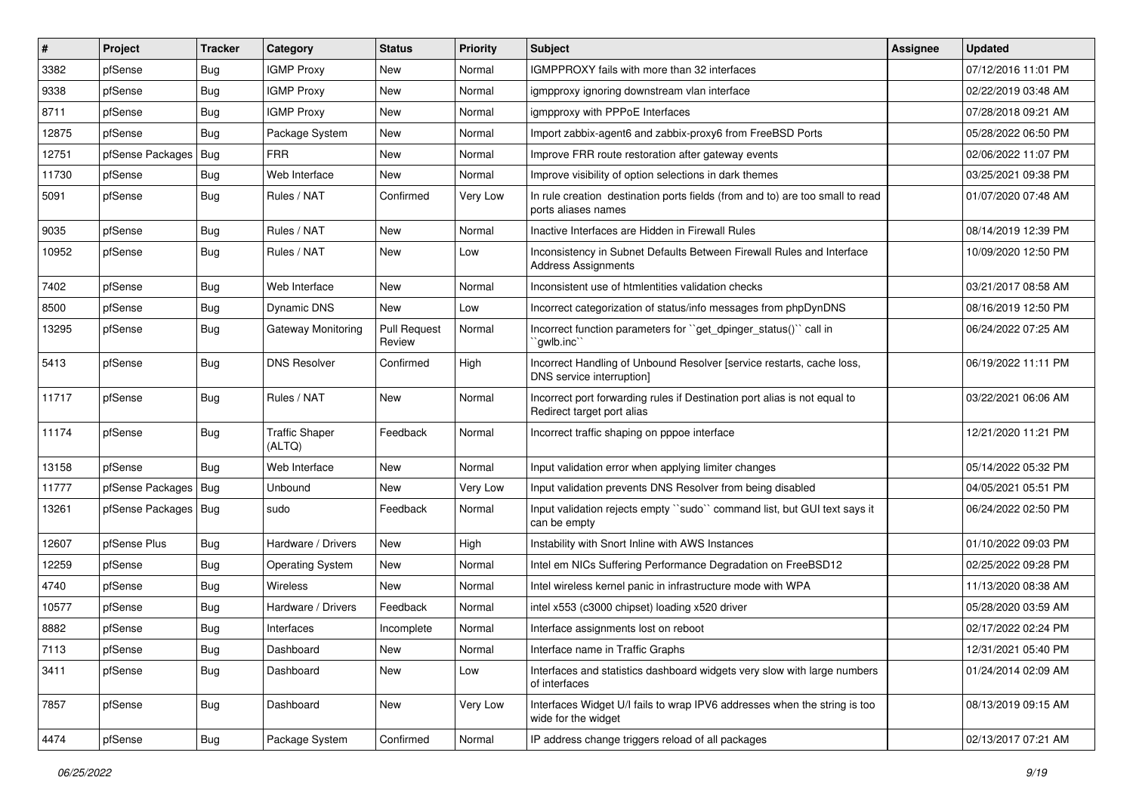| $\pmb{\sharp}$ | Project          | <b>Tracker</b> | Category                        | <b>Status</b>                 | Priority | <b>Subject</b>                                                                                          | <b>Assignee</b> | <b>Updated</b>      |
|----------------|------------------|----------------|---------------------------------|-------------------------------|----------|---------------------------------------------------------------------------------------------------------|-----------------|---------------------|
| 3382           | pfSense          | <b>Bug</b>     | <b>IGMP Proxy</b>               | New                           | Normal   | IGMPPROXY fails with more than 32 interfaces                                                            |                 | 07/12/2016 11:01 PM |
| 9338           | pfSense          | Bug            | <b>IGMP Proxy</b>               | <b>New</b>                    | Normal   | igmpproxy ignoring downstream vlan interface                                                            |                 | 02/22/2019 03:48 AM |
| 8711           | pfSense          | <b>Bug</b>     | <b>IGMP Proxy</b>               | New                           | Normal   | igmpproxy with PPPoE Interfaces                                                                         |                 | 07/28/2018 09:21 AM |
| 12875          | pfSense          | <b>Bug</b>     | Package System                  | <b>New</b>                    | Normal   | Import zabbix-agent6 and zabbix-proxy6 from FreeBSD Ports                                               |                 | 05/28/2022 06:50 PM |
| 12751          | pfSense Packages | Bug            | <b>FRR</b>                      | <b>New</b>                    | Normal   | Improve FRR route restoration after gateway events                                                      |                 | 02/06/2022 11:07 PM |
| 11730          | pfSense          | <b>Bug</b>     | Web Interface                   | New                           | Normal   | Improve visibility of option selections in dark themes                                                  |                 | 03/25/2021 09:38 PM |
| 5091           | pfSense          | Bug            | Rules / NAT                     | Confirmed                     | Very Low | In rule creation destination ports fields (from and to) are too small to read<br>ports aliases names    |                 | 01/07/2020 07:48 AM |
| 9035           | pfSense          | <b>Bug</b>     | Rules / NAT                     | New                           | Normal   | Inactive Interfaces are Hidden in Firewall Rules                                                        |                 | 08/14/2019 12:39 PM |
| 10952          | pfSense          | <b>Bug</b>     | Rules / NAT                     | <b>New</b>                    | Low      | Inconsistency in Subnet Defaults Between Firewall Rules and Interface<br><b>Address Assignments</b>     |                 | 10/09/2020 12:50 PM |
| 7402           | pfSense          | <b>Bug</b>     | Web Interface                   | <b>New</b>                    | Normal   | Inconsistent use of htmlentities validation checks                                                      |                 | 03/21/2017 08:58 AM |
| 8500           | pfSense          | <b>Bug</b>     | Dynamic DNS                     | New                           | Low      | Incorrect categorization of status/info messages from phpDynDNS                                         |                 | 08/16/2019 12:50 PM |
| 13295          | pfSense          | <b>Bug</b>     | <b>Gateway Monitoring</b>       | <b>Pull Request</b><br>Review | Normal   | Incorrect function parameters for "get dpinger status()" call in<br>`gwlb.inc`                          |                 | 06/24/2022 07:25 AM |
| 5413           | pfSense          | <b>Bug</b>     | <b>DNS Resolver</b>             | Confirmed                     | High     | Incorrect Handling of Unbound Resolver [service restarts, cache loss,<br>DNS service interruption]      |                 | 06/19/2022 11:11 PM |
| 11717          | pfSense          | <b>Bug</b>     | Rules / NAT                     | <b>New</b>                    | Normal   | Incorrect port forwarding rules if Destination port alias is not equal to<br>Redirect target port alias |                 | 03/22/2021 06:06 AM |
| 11174          | pfSense          | <b>Bug</b>     | <b>Traffic Shaper</b><br>(ALTQ) | Feedback                      | Normal   | Incorrect traffic shaping on pppoe interface                                                            |                 | 12/21/2020 11:21 PM |
| 13158          | pfSense          | Bug            | Web Interface                   | New                           | Normal   | Input validation error when applying limiter changes                                                    |                 | 05/14/2022 05:32 PM |
| 11777          | pfSense Packages | Bug            | Unbound                         | New                           | Very Low | Input validation prevents DNS Resolver from being disabled                                              |                 | 04/05/2021 05:51 PM |
| 13261          | pfSense Packages | <b>Bug</b>     | sudo                            | Feedback                      | Normal   | Input validation rejects empty "sudo" command list, but GUI text says it<br>can be empty                |                 | 06/24/2022 02:50 PM |
| 12607          | pfSense Plus     | <b>Bug</b>     | Hardware / Drivers              | New                           | High     | Instability with Snort Inline with AWS Instances                                                        |                 | 01/10/2022 09:03 PM |
| 12259          | pfSense          | <b>Bug</b>     | <b>Operating System</b>         | <b>New</b>                    | Normal   | Intel em NICs Suffering Performance Degradation on FreeBSD12                                            |                 | 02/25/2022 09:28 PM |
| 4740           | pfSense          | <b>Bug</b>     | <b>Wireless</b>                 | New                           | Normal   | Intel wireless kernel panic in infrastructure mode with WPA                                             |                 | 11/13/2020 08:38 AM |
| 10577          | pfSense          | <b>Bug</b>     | Hardware / Drivers              | Feedback                      | Normal   | intel x553 (c3000 chipset) loading x520 driver                                                          |                 | 05/28/2020 03:59 AM |
| 8882           | pfSense          | <b>Bug</b>     | Interfaces                      | Incomplete                    | Normal   | Interface assignments lost on reboot                                                                    |                 | 02/17/2022 02:24 PM |
| 7113           | pfSense          | <b>Bug</b>     | Dashboard                       | New                           | Normal   | Interface name in Traffic Graphs                                                                        |                 | 12/31/2021 05:40 PM |
| 3411           | pfSense          | Bug            | Dashboard                       | New                           | Low      | Interfaces and statistics dashboard widgets very slow with large numbers<br>of interfaces               |                 | 01/24/2014 02:09 AM |
| 7857           | pfSense          | Bug            | Dashboard                       | New                           | Very Low | Interfaces Widget U/I fails to wrap IPV6 addresses when the string is too<br>wide for the widget        |                 | 08/13/2019 09:15 AM |
| 4474           | pfSense          | Bug            | Package System                  | Confirmed                     | Normal   | IP address change triggers reload of all packages                                                       |                 | 02/13/2017 07:21 AM |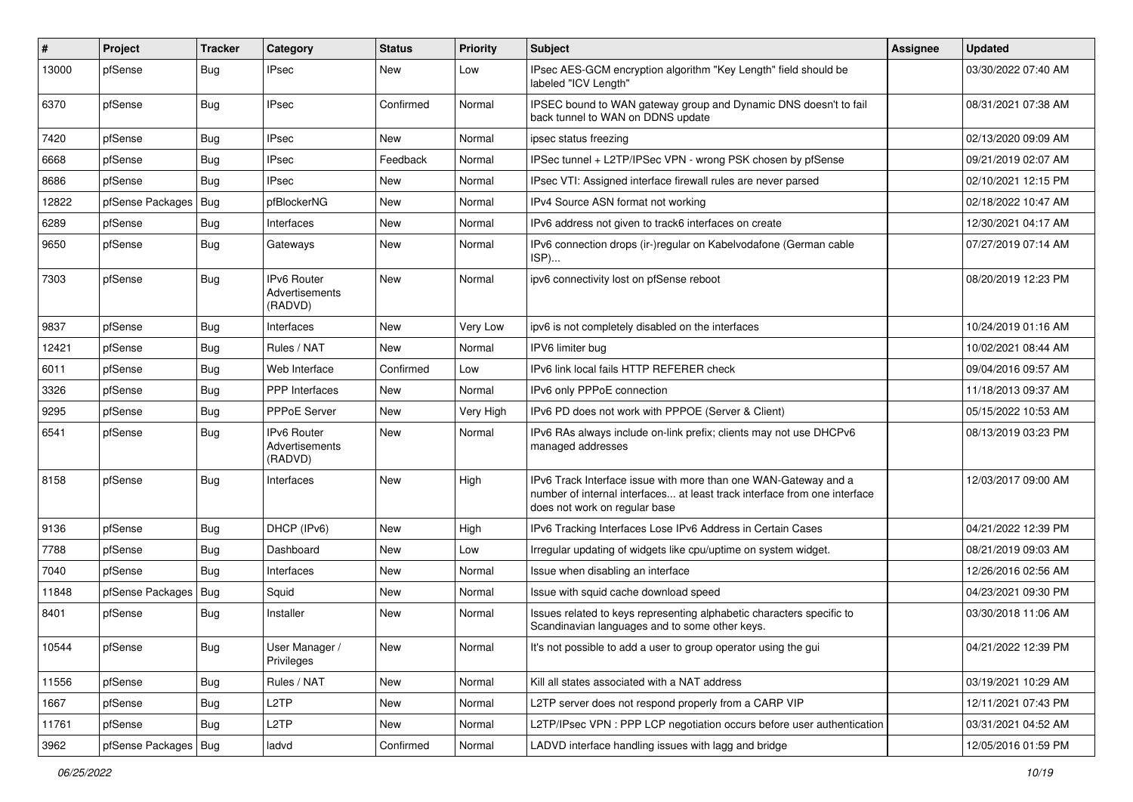| #     | Project                | <b>Tracker</b> | Category                                        | <b>Status</b> | <b>Priority</b> | <b>Subject</b>                                                                                                                                                                | <b>Assignee</b> | <b>Updated</b>      |
|-------|------------------------|----------------|-------------------------------------------------|---------------|-----------------|-------------------------------------------------------------------------------------------------------------------------------------------------------------------------------|-----------------|---------------------|
| 13000 | pfSense                | <b>Bug</b>     | <b>IPsec</b>                                    | New           | Low             | IPsec AES-GCM encryption algorithm "Key Length" field should be<br>labeled "ICV Length"                                                                                       |                 | 03/30/2022 07:40 AM |
| 6370  | pfSense                | <b>Bug</b>     | <b>IPsec</b>                                    | Confirmed     | Normal          | IPSEC bound to WAN gateway group and Dynamic DNS doesn't to fail<br>back tunnel to WAN on DDNS update                                                                         |                 | 08/31/2021 07:38 AM |
| 7420  | pfSense                | <b>Bug</b>     | <b>IPsec</b>                                    | <b>New</b>    | Normal          | ipsec status freezing                                                                                                                                                         |                 | 02/13/2020 09:09 AM |
| 6668  | pfSense                | <b>Bug</b>     | <b>IPsec</b>                                    | Feedback      | Normal          | IPSec tunnel + L2TP/IPSec VPN - wrong PSK chosen by pfSense                                                                                                                   |                 | 09/21/2019 02:07 AM |
| 8686  | pfSense                | <b>Bug</b>     | <b>IPsec</b>                                    | New           | Normal          | IPsec VTI: Assigned interface firewall rules are never parsed                                                                                                                 |                 | 02/10/2021 12:15 PM |
| 12822 | pfSense Packages       | Bug            | pfBlockerNG                                     | <b>New</b>    | Normal          | IPv4 Source ASN format not working                                                                                                                                            |                 | 02/18/2022 10:47 AM |
| 6289  | pfSense                | <b>Bug</b>     | Interfaces                                      | New           | Normal          | IPv6 address not given to track6 interfaces on create                                                                                                                         |                 | 12/30/2021 04:17 AM |
| 9650  | pfSense                | <b>Bug</b>     | Gateways                                        | <b>New</b>    | Normal          | IPv6 connection drops (ir-)regular on Kabelvodafone (German cable<br>ISP)                                                                                                     |                 | 07/27/2019 07:14 AM |
| 7303  | pfSense                | <b>Bug</b>     | <b>IPv6 Router</b><br>Advertisements<br>(RADVD) | <b>New</b>    | Normal          | ipv6 connectivity lost on pfSense reboot                                                                                                                                      |                 | 08/20/2019 12:23 PM |
| 9837  | pfSense                | <b>Bug</b>     | Interfaces                                      | <b>New</b>    | Very Low        | ipv6 is not completely disabled on the interfaces                                                                                                                             |                 | 10/24/2019 01:16 AM |
| 12421 | pfSense                | <b>Bug</b>     | Rules / NAT                                     | <b>New</b>    | Normal          | IPV6 limiter bug                                                                                                                                                              |                 | 10/02/2021 08:44 AM |
| 6011  | pfSense                | <b>Bug</b>     | Web Interface                                   | Confirmed     | Low             | IPv6 link local fails HTTP REFERER check                                                                                                                                      |                 | 09/04/2016 09:57 AM |
| 3326  | pfSense                | <b>Bug</b>     | <b>PPP</b> Interfaces                           | <b>New</b>    | Normal          | IPv6 only PPPoE connection                                                                                                                                                    |                 | 11/18/2013 09:37 AM |
| 9295  | pfSense                | <b>Bug</b>     | PPPoE Server                                    | New           | Very High       | IPv6 PD does not work with PPPOE (Server & Client)                                                                                                                            |                 | 05/15/2022 10:53 AM |
| 6541  | pfSense                | <b>Bug</b>     | <b>IPv6 Router</b><br>Advertisements<br>(RADVD) | <b>New</b>    | Normal          | IPv6 RAs always include on-link prefix; clients may not use DHCPv6<br>managed addresses                                                                                       |                 | 08/13/2019 03:23 PM |
| 8158  | pfSense                | <b>Bug</b>     | Interfaces                                      | <b>New</b>    | High            | IPv6 Track Interface issue with more than one WAN-Gateway and a<br>number of internal interfaces at least track interface from one interface<br>does not work on regular base |                 | 12/03/2017 09:00 AM |
| 9136  | pfSense                | <b>Bug</b>     | DHCP (IPv6)                                     | <b>New</b>    | High            | IPv6 Tracking Interfaces Lose IPv6 Address in Certain Cases                                                                                                                   |                 | 04/21/2022 12:39 PM |
| 7788  | pfSense                | <b>Bug</b>     | Dashboard                                       | <b>New</b>    | Low             | Irregular updating of widgets like cpu/uptime on system widget.                                                                                                               |                 | 08/21/2019 09:03 AM |
| 7040  | pfSense                | <b>Bug</b>     | Interfaces                                      | New           | Normal          | Issue when disabling an interface                                                                                                                                             |                 | 12/26/2016 02:56 AM |
| 11848 | pfSense Packages       | <b>Bug</b>     | Squid                                           | <b>New</b>    | Normal          | Issue with squid cache download speed                                                                                                                                         |                 | 04/23/2021 09:30 PM |
| 8401  | pfSense                | <b>Bug</b>     | Installer                                       | New           | Normal          | Issues related to keys representing alphabetic characters specific to<br>Scandinavian languages and to some other keys.                                                       |                 | 03/30/2018 11:06 AM |
| 10544 | pfSense                | <b>Bug</b>     | User Manager /<br>Privileges                    | New           | Normal          | It's not possible to add a user to group operator using the gui                                                                                                               |                 | 04/21/2022 12:39 PM |
| 11556 | pfSense                | <b>Bug</b>     | Rules / NAT                                     | New           | Normal          | Kill all states associated with a NAT address                                                                                                                                 |                 | 03/19/2021 10:29 AM |
| 1667  | pfSense                | <b>Bug</b>     | L <sub>2</sub> TP                               | New           | Normal          | L2TP server does not respond properly from a CARP VIP                                                                                                                         |                 | 12/11/2021 07:43 PM |
| 11761 | pfSense                | <b>Bug</b>     | L <sub>2</sub> TP                               | New           | Normal          | L2TP/IPsec VPN: PPP LCP negotiation occurs before user authentication                                                                                                         |                 | 03/31/2021 04:52 AM |
| 3962  | pfSense Packages   Bug |                | ladvd                                           | Confirmed     | Normal          | LADVD interface handling issues with lagg and bridge                                                                                                                          |                 | 12/05/2016 01:59 PM |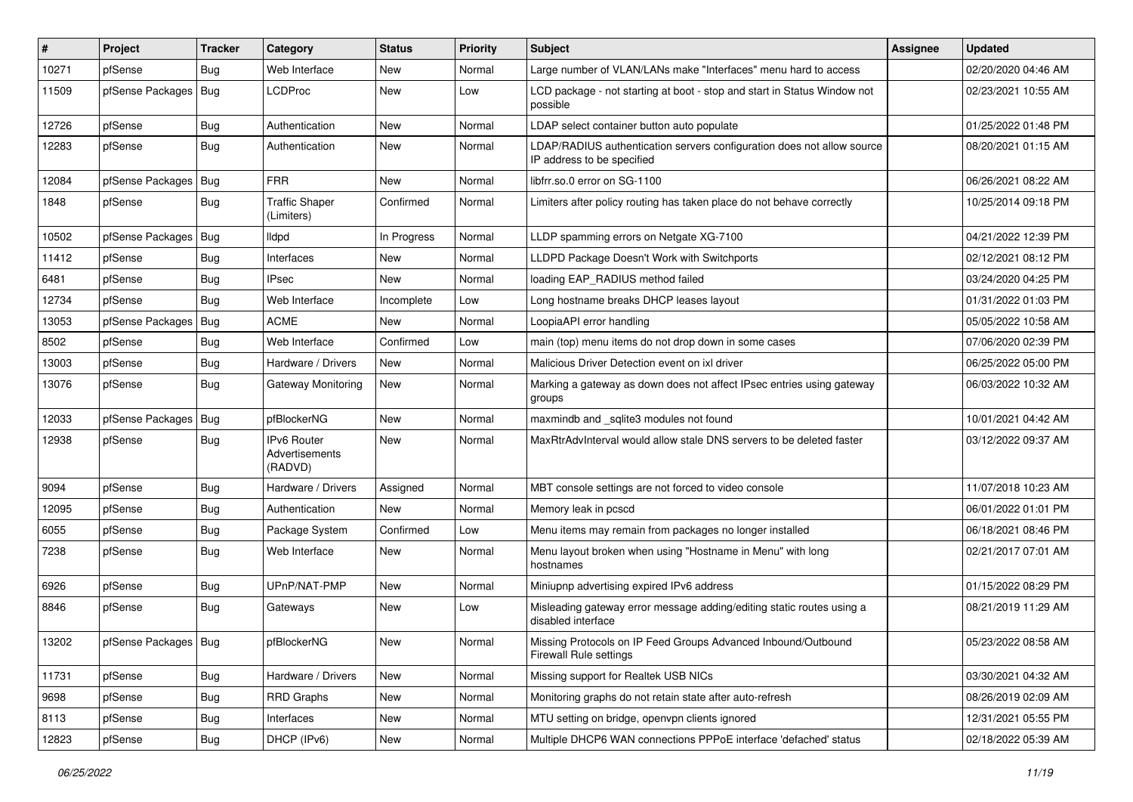| #     | Project                | <b>Tracker</b> | Category                                        | <b>Status</b> | <b>Priority</b> | <b>Subject</b>                                                                                       | <b>Assignee</b> | <b>Updated</b>      |
|-------|------------------------|----------------|-------------------------------------------------|---------------|-----------------|------------------------------------------------------------------------------------------------------|-----------------|---------------------|
| 10271 | pfSense                | Bug            | Web Interface                                   | New           | Normal          | Large number of VLAN/LANs make "Interfaces" menu hard to access                                      |                 | 02/20/2020 04:46 AM |
| 11509 | pfSense Packages   Bug |                | <b>LCDProc</b>                                  | <b>New</b>    | Low             | LCD package - not starting at boot - stop and start in Status Window not<br>possible                 |                 | 02/23/2021 10:55 AM |
| 12726 | pfSense                | <b>Bug</b>     | Authentication                                  | New           | Normal          | LDAP select container button auto populate                                                           |                 | 01/25/2022 01:48 PM |
| 12283 | pfSense                | <b>Bug</b>     | Authentication                                  | New           | Normal          | LDAP/RADIUS authentication servers configuration does not allow source<br>IP address to be specified |                 | 08/20/2021 01:15 AM |
| 12084 | pfSense Packages       | <b>Bug</b>     | <b>FRR</b>                                      | New           | Normal          | libfrr.so.0 error on SG-1100                                                                         |                 | 06/26/2021 08:22 AM |
| 1848  | pfSense                | <b>Bug</b>     | <b>Traffic Shaper</b><br>(Limiters)             | Confirmed     | Normal          | Limiters after policy routing has taken place do not behave correctly                                |                 | 10/25/2014 09:18 PM |
| 10502 | pfSense Packages   Bug |                | lldpd                                           | In Progress   | Normal          | LLDP spamming errors on Netgate XG-7100                                                              |                 | 04/21/2022 12:39 PM |
| 11412 | pfSense                | <b>Bug</b>     | Interfaces                                      | New           | Normal          | LLDPD Package Doesn't Work with Switchports                                                          |                 | 02/12/2021 08:12 PM |
| 6481  | pfSense                | <b>Bug</b>     | <b>IPsec</b>                                    | <b>New</b>    | Normal          | loading EAP_RADIUS method failed                                                                     |                 | 03/24/2020 04:25 PM |
| 12734 | pfSense                | Bug            | Web Interface                                   | Incomplete    | Low             | Long hostname breaks DHCP leases layout                                                              |                 | 01/31/2022 01:03 PM |
| 13053 | pfSense Packages       | <b>Bug</b>     | <b>ACME</b>                                     | New           | Normal          | LoopiaAPI error handling                                                                             |                 | 05/05/2022 10:58 AM |
| 8502  | pfSense                | <b>Bug</b>     | Web Interface                                   | Confirmed     | Low             | main (top) menu items do not drop down in some cases                                                 |                 | 07/06/2020 02:39 PM |
| 13003 | pfSense                | <b>Bug</b>     | Hardware / Drivers                              | New           | Normal          | Malicious Driver Detection event on ixl driver                                                       |                 | 06/25/2022 05:00 PM |
| 13076 | pfSense                | <b>Bug</b>     | Gateway Monitoring                              | New           | Normal          | Marking a gateway as down does not affect IPsec entries using gateway<br>groups                      |                 | 06/03/2022 10:32 AM |
| 12033 | pfSense Packages       | Bug            | pfBlockerNG                                     | New           | Normal          | maxmindb and _sqlite3 modules not found                                                              |                 | 10/01/2021 04:42 AM |
| 12938 | pfSense                | <b>Bug</b>     | <b>IPv6 Router</b><br>Advertisements<br>(RADVD) | <b>New</b>    | Normal          | MaxRtrAdvInterval would allow stale DNS servers to be deleted faster                                 |                 | 03/12/2022 09:37 AM |
| 9094  | pfSense                | <b>Bug</b>     | Hardware / Drivers                              | Assigned      | Normal          | MBT console settings are not forced to video console                                                 |                 | 11/07/2018 10:23 AM |
| 12095 | pfSense                | <b>Bug</b>     | Authentication                                  | <b>New</b>    | Normal          | Memory leak in pcscd                                                                                 |                 | 06/01/2022 01:01 PM |
| 6055  | pfSense                | <b>Bug</b>     | Package System                                  | Confirmed     | Low             | Menu items may remain from packages no longer installed                                              |                 | 06/18/2021 08:46 PM |
| 7238  | pfSense                | <b>Bug</b>     | Web Interface                                   | New           | Normal          | Menu layout broken when using "Hostname in Menu" with long<br>hostnames                              |                 | 02/21/2017 07:01 AM |
| 6926  | pfSense                | <b>Bug</b>     | UPnP/NAT-PMP                                    | New           | Normal          | Miniupnp advertising expired IPv6 address                                                            |                 | 01/15/2022 08:29 PM |
| 8846  | pfSense                | <b>Bug</b>     | Gateways                                        | New           | Low             | Misleading gateway error message adding/editing static routes using a<br>disabled interface          |                 | 08/21/2019 11:29 AM |
| 13202 | pfSense Packages   Bug |                | pfBlockerNG                                     | New           | Normal          | Missing Protocols on IP Feed Groups Advanced Inbound/Outbound<br><b>Firewall Rule settings</b>       |                 | 05/23/2022 08:58 AM |
| 11731 | pfSense                | <b>Bug</b>     | Hardware / Drivers                              | New           | Normal          | Missing support for Realtek USB NICs                                                                 |                 | 03/30/2021 04:32 AM |
| 9698  | pfSense                | Bug            | <b>RRD Graphs</b>                               | New           | Normal          | Monitoring graphs do not retain state after auto-refresh                                             |                 | 08/26/2019 02:09 AM |
| 8113  | pfSense                | <b>Bug</b>     | Interfaces                                      | New           | Normal          | MTU setting on bridge, openvpn clients ignored                                                       |                 | 12/31/2021 05:55 PM |
| 12823 | pfSense                | Bug            | DHCP (IPv6)                                     | New           | Normal          | Multiple DHCP6 WAN connections PPPoE interface 'defached' status                                     |                 | 02/18/2022 05:39 AM |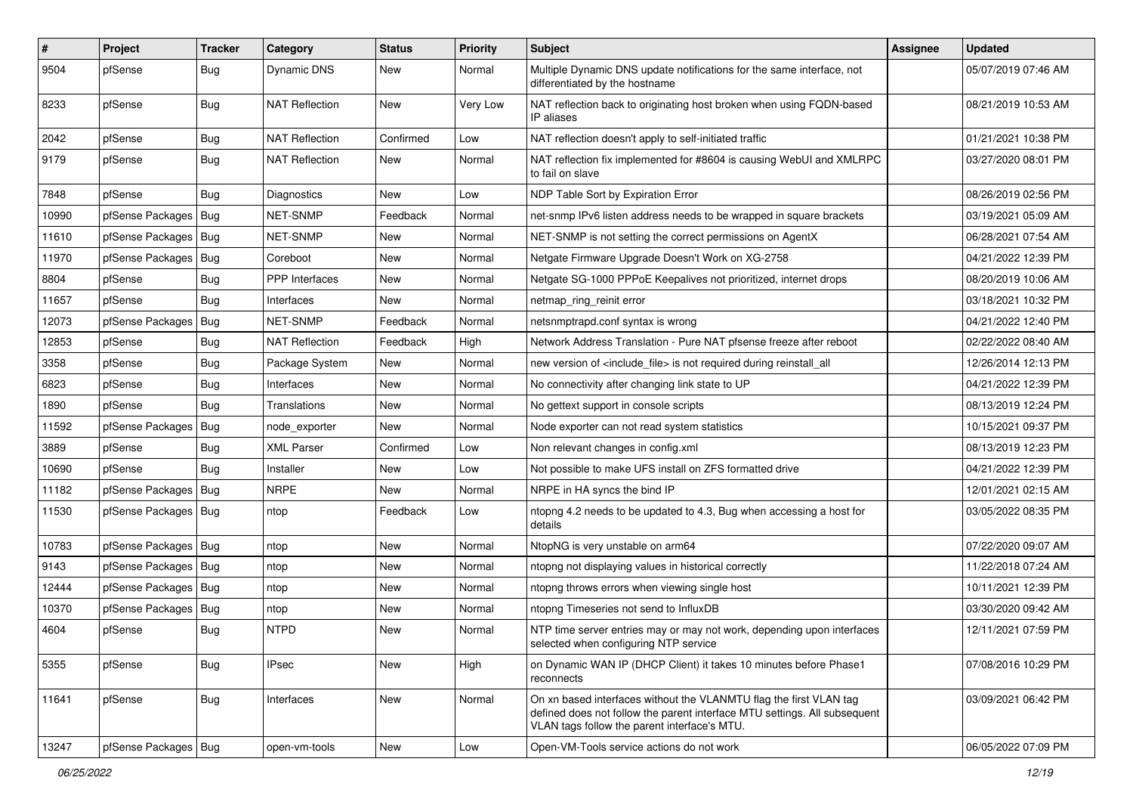| $\sharp$ | Project                | <b>Tracker</b> | Category              | <b>Status</b> | <b>Priority</b> | <b>Subject</b>                                                                                                                                                                                  | <b>Assignee</b> | <b>Updated</b>      |
|----------|------------------------|----------------|-----------------------|---------------|-----------------|-------------------------------------------------------------------------------------------------------------------------------------------------------------------------------------------------|-----------------|---------------------|
| 9504     | pfSense                | <b>Bug</b>     | Dynamic DNS           | New           | Normal          | Multiple Dynamic DNS update notifications for the same interface, not<br>differentiated by the hostname                                                                                         |                 | 05/07/2019 07:46 AM |
| 8233     | pfSense                | <b>Bug</b>     | <b>NAT Reflection</b> | New           | Very Low        | NAT reflection back to originating host broken when using FQDN-based<br>IP aliases                                                                                                              |                 | 08/21/2019 10:53 AM |
| 2042     | pfSense                | <b>Bug</b>     | <b>NAT Reflection</b> | Confirmed     | Low             | NAT reflection doesn't apply to self-initiated traffic                                                                                                                                          |                 | 01/21/2021 10:38 PM |
| 9179     | pfSense                | <b>Bug</b>     | <b>NAT Reflection</b> | New           | Normal          | NAT reflection fix implemented for #8604 is causing WebUI and XMLRPC<br>to fail on slave                                                                                                        |                 | 03/27/2020 08:01 PM |
| 7848     | pfSense                | <b>Bug</b>     | Diagnostics           | <b>New</b>    | Low             | NDP Table Sort by Expiration Error                                                                                                                                                              |                 | 08/26/2019 02:56 PM |
| 10990    | pfSense Packages       | Bug            | <b>NET-SNMP</b>       | Feedback      | Normal          | net-snmp IPv6 listen address needs to be wrapped in square brackets                                                                                                                             |                 | 03/19/2021 05:09 AM |
| 11610    | pfSense Packages   Bug |                | <b>NET-SNMP</b>       | New           | Normal          | NET-SNMP is not setting the correct permissions on AgentX                                                                                                                                       |                 | 06/28/2021 07:54 AM |
| 11970    | pfSense Packages       | Bug            | Coreboot              | New           | Normal          | Netgate Firmware Upgrade Doesn't Work on XG-2758                                                                                                                                                |                 | 04/21/2022 12:39 PM |
| 8804     | pfSense                | <b>Bug</b>     | PPP Interfaces        | New           | Normal          | Netgate SG-1000 PPPoE Keepalives not prioritized, internet drops                                                                                                                                |                 | 08/20/2019 10:06 AM |
| 11657    | pfSense                | Bug            | Interfaces            | New           | Normal          | netmap_ring_reinit error                                                                                                                                                                        |                 | 03/18/2021 10:32 PM |
| 12073    | pfSense Packages       | <b>Bug</b>     | NET-SNMP              | Feedback      | Normal          | netsnmptrapd.conf syntax is wrong                                                                                                                                                               |                 | 04/21/2022 12:40 PM |
| 12853    | pfSense                | <b>Bug</b>     | <b>NAT Reflection</b> | Feedback      | High            | Network Address Translation - Pure NAT pfsense freeze after reboot                                                                                                                              |                 | 02/22/2022 08:40 AM |
| 3358     | pfSense                | <b>Bug</b>     | Package System        | New           | Normal          | new version of <include file=""> is not required during reinstall all</include>                                                                                                                 |                 | 12/26/2014 12:13 PM |
| 6823     | pfSense                | <b>Bug</b>     | Interfaces            | New           | Normal          | No connectivity after changing link state to UP                                                                                                                                                 |                 | 04/21/2022 12:39 PM |
| 1890     | pfSense                | Bug            | Translations          | New           | Normal          | No gettext support in console scripts                                                                                                                                                           |                 | 08/13/2019 12:24 PM |
| 11592    | pfSense Packages       | Bug            | node exporter         | New           | Normal          | Node exporter can not read system statistics                                                                                                                                                    |                 | 10/15/2021 09:37 PM |
| 3889     | pfSense                | <b>Bug</b>     | <b>XML Parser</b>     | Confirmed     | Low             | Non relevant changes in config.xml                                                                                                                                                              |                 | 08/13/2019 12:23 PM |
| 10690    | pfSense                | <b>Bug</b>     | Installer             | <b>New</b>    | Low             | Not possible to make UFS install on ZFS formatted drive                                                                                                                                         |                 | 04/21/2022 12:39 PM |
| 11182    | pfSense Packages       | Bug            | <b>NRPE</b>           | New           | Normal          | NRPE in HA syncs the bind IP                                                                                                                                                                    |                 | 12/01/2021 02:15 AM |
| 11530    | pfSense Packages   Bug |                | ntop                  | Feedback      | Low             | ntopng 4.2 needs to be updated to 4.3, Bug when accessing a host for<br>details                                                                                                                 |                 | 03/05/2022 08:35 PM |
| 10783    | pfSense Packages   Bug |                | ntop                  | New           | Normal          | NtopNG is very unstable on arm64                                                                                                                                                                |                 | 07/22/2020 09:07 AM |
| 9143     | pfSense Packages       | Bug            | ntop                  | New           | Normal          | ntopng not displaying values in historical correctly                                                                                                                                            |                 | 11/22/2018 07:24 AM |
| 12444    | pfSense Packages   Bug |                | ntop                  | New           | Normal          | ntopng throws errors when viewing single host                                                                                                                                                   |                 | 10/11/2021 12:39 PM |
| 10370    | pfSense Packages   Bug |                | ntop                  | New           | Normal          | ntopng Timeseries not send to InfluxDB                                                                                                                                                          |                 | 03/30/2020 09:42 AM |
| 4604     | pfSense                | <b>Bug</b>     | <b>NTPD</b>           | New           | Normal          | NTP time server entries may or may not work, depending upon interfaces<br>selected when configuring NTP service                                                                                 |                 | 12/11/2021 07:59 PM |
| 5355     | pfSense                | Bug            | <b>IPsec</b>          | New           | High            | on Dynamic WAN IP (DHCP Client) it takes 10 minutes before Phase1<br>reconnects                                                                                                                 |                 | 07/08/2016 10:29 PM |
| 11641    | pfSense                | <b>Bug</b>     | Interfaces            | New           | Normal          | On xn based interfaces without the VLANMTU flag the first VLAN tag<br>defined does not follow the parent interface MTU settings. All subsequent<br>VLAN tags follow the parent interface's MTU. |                 | 03/09/2021 06:42 PM |
| 13247    | pfSense Packages   Bug |                | open-vm-tools         | New           | Low             | Open-VM-Tools service actions do not work                                                                                                                                                       |                 | 06/05/2022 07:09 PM |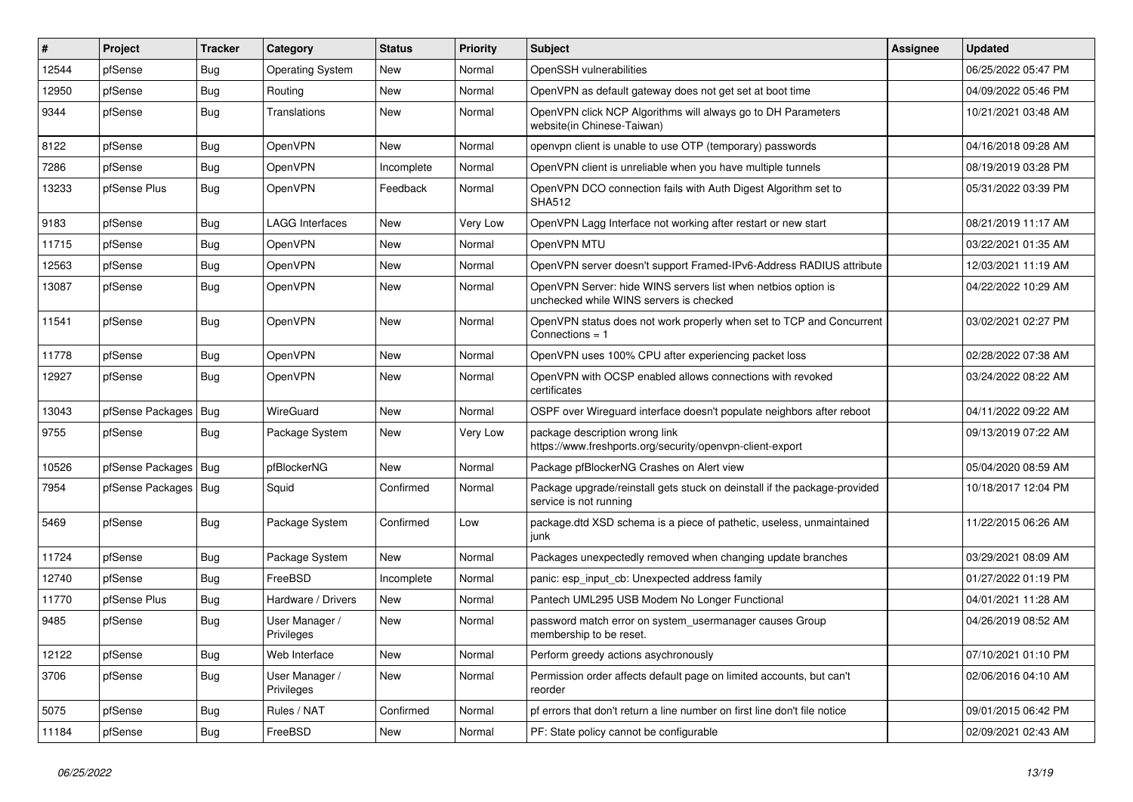| #     | Project                | Tracker    | Category                     | <b>Status</b> | <b>Priority</b> | Subject                                                                                                  | Assignee | <b>Updated</b>      |
|-------|------------------------|------------|------------------------------|---------------|-----------------|----------------------------------------------------------------------------------------------------------|----------|---------------------|
| 12544 | pfSense                | <b>Bug</b> | <b>Operating System</b>      | <b>New</b>    | Normal          | OpenSSH vulnerabilities                                                                                  |          | 06/25/2022 05:47 PM |
| 12950 | pfSense                | <b>Bug</b> | Routing                      | <b>New</b>    | Normal          | OpenVPN as default gateway does not get set at boot time                                                 |          | 04/09/2022 05:46 PM |
| 9344  | pfSense                | <b>Bug</b> | Translations                 | New           | Normal          | OpenVPN click NCP Algorithms will always go to DH Parameters<br>website(in Chinese-Taiwan)               |          | 10/21/2021 03:48 AM |
| 8122  | pfSense                | Bug        | <b>OpenVPN</b>               | <b>New</b>    | Normal          | openvpn client is unable to use OTP (temporary) passwords                                                |          | 04/16/2018 09:28 AM |
| 7286  | pfSense                | Bug        | OpenVPN                      | Incomplete    | Normal          | OpenVPN client is unreliable when you have multiple tunnels                                              |          | 08/19/2019 03:28 PM |
| 13233 | pfSense Plus           | <b>Bug</b> | OpenVPN                      | Feedback      | Normal          | OpenVPN DCO connection fails with Auth Digest Algorithm set to<br><b>SHA512</b>                          |          | 05/31/2022 03:39 PM |
| 9183  | pfSense                | <b>Bug</b> | <b>LAGG Interfaces</b>       | <b>New</b>    | Very Low        | OpenVPN Lagg Interface not working after restart or new start                                            |          | 08/21/2019 11:17 AM |
| 11715 | pfSense                | <b>Bug</b> | OpenVPN                      | <b>New</b>    | Normal          | OpenVPN MTU                                                                                              |          | 03/22/2021 01:35 AM |
| 12563 | pfSense                | <b>Bug</b> | OpenVPN                      | New           | Normal          | OpenVPN server doesn't support Framed-IPv6-Address RADIUS attribute                                      |          | 12/03/2021 11:19 AM |
| 13087 | pfSense                | <b>Bug</b> | OpenVPN                      | New           | Normal          | OpenVPN Server: hide WINS servers list when netbios option is<br>unchecked while WINS servers is checked |          | 04/22/2022 10:29 AM |
| 11541 | pfSense                | <b>Bug</b> | OpenVPN                      | New           | Normal          | OpenVPN status does not work properly when set to TCP and Concurrent<br>Connections = 1                  |          | 03/02/2021 02:27 PM |
| 11778 | pfSense                | <b>Bug</b> | OpenVPN                      | <b>New</b>    | Normal          | OpenVPN uses 100% CPU after experiencing packet loss                                                     |          | 02/28/2022 07:38 AM |
| 12927 | pfSense                | <b>Bug</b> | <b>OpenVPN</b>               | New           | Normal          | OpenVPN with OCSP enabled allows connections with revoked<br>certificates                                |          | 03/24/2022 08:22 AM |
| 13043 | pfSense Packages       | <b>Bug</b> | WireGuard                    | New           | Normal          | OSPF over Wirequard interface doesn't populate neighbors after reboot                                    |          | 04/11/2022 09:22 AM |
| 9755  | pfSense                | <b>Bug</b> | Package System               | New           | Very Low        | package description wrong link<br>https://www.freshports.org/security/openvpn-client-export              |          | 09/13/2019 07:22 AM |
| 10526 | pfSense Packages       | Bug        | pfBlockerNG                  | New           | Normal          | Package pfBlockerNG Crashes on Alert view                                                                |          | 05/04/2020 08:59 AM |
| 7954  | pfSense Packages   Bug |            | Squid                        | Confirmed     | Normal          | Package upgrade/reinstall gets stuck on deinstall if the package-provided<br>service is not running      |          | 10/18/2017 12:04 PM |
| 5469  | pfSense                | <b>Bug</b> | Package System               | Confirmed     | Low             | package.dtd XSD schema is a piece of pathetic, useless, unmaintained<br>junk                             |          | 11/22/2015 06:26 AM |
| 11724 | pfSense                | <b>Bug</b> | Package System               | New           | Normal          | Packages unexpectedly removed when changing update branches                                              |          | 03/29/2021 08:09 AM |
| 12740 | pfSense                | Bug        | FreeBSD                      | Incomplete    | Normal          | panic: esp_input_cb: Unexpected address family                                                           |          | 01/27/2022 01:19 PM |
| 11770 | pfSense Plus           | <b>Bug</b> | Hardware / Drivers           | New           | Normal          | Pantech UML295 USB Modem No Longer Functional                                                            |          | 04/01/2021 11:28 AM |
| 9485  | pfSense                | <b>Bug</b> | User Manager /<br>Privileges | New           | Normal          | password match error on system usermanager causes Group<br>membership to be reset.                       |          | 04/26/2019 08:52 AM |
| 12122 | pfSense                | <b>Bug</b> | Web Interface                | New           | Normal          | Perform greedy actions asychronously                                                                     |          | 07/10/2021 01:10 PM |
| 3706  | pfSense                | <b>Bug</b> | User Manager /<br>Privileges | New           | Normal          | Permission order affects default page on limited accounts, but can't<br>reorder                          |          | 02/06/2016 04:10 AM |
| 5075  | pfSense                | <b>Bug</b> | Rules / NAT                  | Confirmed     | Normal          | pf errors that don't return a line number on first line don't file notice                                |          | 09/01/2015 06:42 PM |
| 11184 | pfSense                | <b>Bug</b> | FreeBSD                      | New           | Normal          | PF: State policy cannot be configurable                                                                  |          | 02/09/2021 02:43 AM |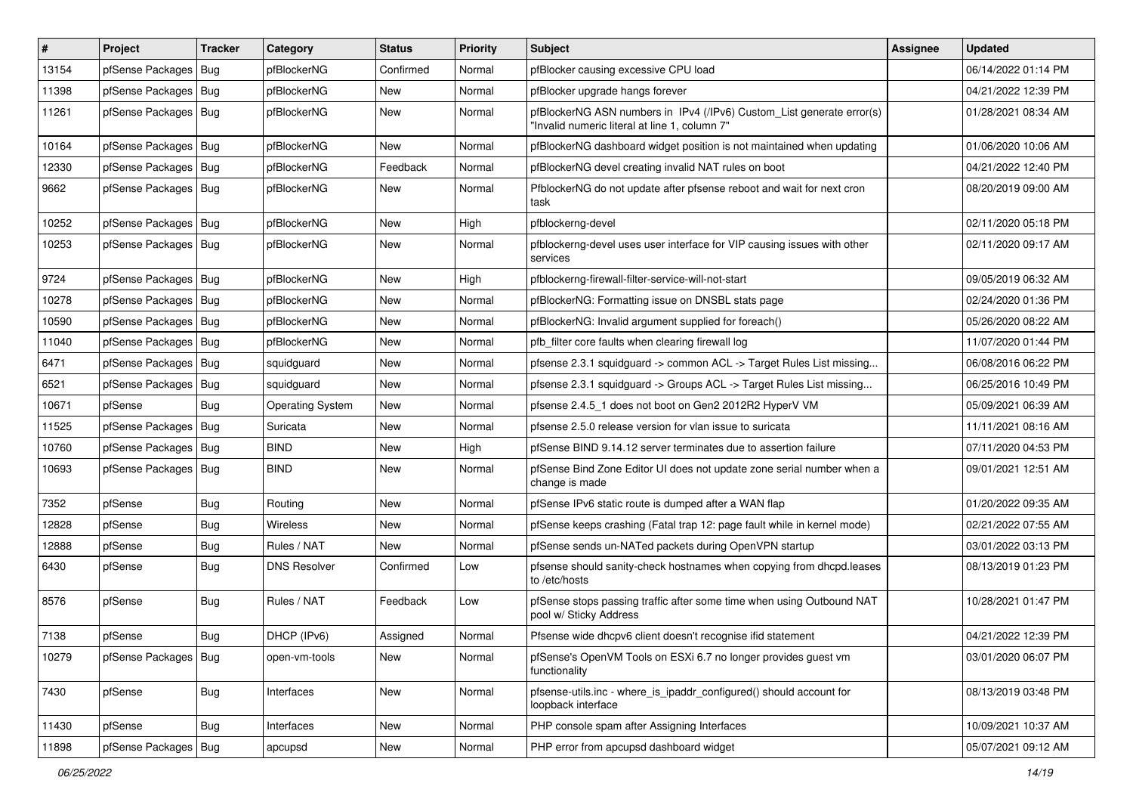| $\vert$ # | Project                | <b>Tracker</b> | Category                | <b>Status</b> | <b>Priority</b> | Subject                                                                                                                | <b>Assignee</b> | <b>Updated</b>      |
|-----------|------------------------|----------------|-------------------------|---------------|-----------------|------------------------------------------------------------------------------------------------------------------------|-----------------|---------------------|
| 13154     | pfSense Packages       | Bug            | pfBlockerNG             | Confirmed     | Normal          | pfBlocker causing excessive CPU load                                                                                   |                 | 06/14/2022 01:14 PM |
| 11398     | pfSense Packages       | Bug            | pfBlockerNG             | New           | Normal          | pfBlocker upgrade hangs forever                                                                                        |                 | 04/21/2022 12:39 PM |
| 11261     | pfSense Packages   Bug |                | pfBlockerNG             | New           | Normal          | pfBlockerNG ASN numbers in IPv4 (/IPv6) Custom_List generate error(s)<br>"Invalid numeric literal at line 1, column 7" |                 | 01/28/2021 08:34 AM |
| 10164     | pfSense Packages       | <b>Bug</b>     | pfBlockerNG             | New           | Normal          | pfBlockerNG dashboard widget position is not maintained when updating                                                  |                 | 01/06/2020 10:06 AM |
| 12330     | pfSense Packages       | Bug            | pfBlockerNG             | Feedback      | Normal          | pfBlockerNG devel creating invalid NAT rules on boot                                                                   |                 | 04/21/2022 12:40 PM |
| 9662      | pfSense Packages   Bug |                | pfBlockerNG             | New           | Normal          | PfblockerNG do not update after pfsense reboot and wait for next cron<br>task                                          |                 | 08/20/2019 09:00 AM |
| 10252     | pfSense Packages   Bug |                | pfBlockerNG             | New           | High            | pfblockerng-devel                                                                                                      |                 | 02/11/2020 05:18 PM |
| 10253     | pfSense Packages   Bug |                | pfBlockerNG             | New           | Normal          | pfblockerng-devel uses user interface for VIP causing issues with other<br>services                                    |                 | 02/11/2020 09:17 AM |
| 9724      | pfSense Packages       | Bug            | pfBlockerNG             | <b>New</b>    | High            | pfblockerng-firewall-filter-service-will-not-start                                                                     |                 | 09/05/2019 06:32 AM |
| 10278     | pfSense Packages       | Bug            | pfBlockerNG             | New           | Normal          | pfBlockerNG: Formatting issue on DNSBL stats page                                                                      |                 | 02/24/2020 01:36 PM |
| 10590     | pfSense Packages       | Bug            | pfBlockerNG             | New           | Normal          | pfBlockerNG: Invalid argument supplied for foreach()                                                                   |                 | 05/26/2020 08:22 AM |
| 11040     | pfSense Packages   Bug |                | pfBlockerNG             | New           | Normal          | pfb filter core faults when clearing firewall log                                                                      |                 | 11/07/2020 01:44 PM |
| 6471      | pfSense Packages       | Bug            | squidguard              | New           | Normal          | pfsense 2.3.1 squidguard -> common ACL -> Target Rules List missing                                                    |                 | 06/08/2016 06:22 PM |
| 6521      | pfSense Packages   Bug |                | squidquard              | New           | Normal          | pfsense 2.3.1 squidguard -> Groups ACL -> Target Rules List missing                                                    |                 | 06/25/2016 10:49 PM |
| 10671     | pfSense                | <b>Bug</b>     | <b>Operating System</b> | <b>New</b>    | Normal          | pfsense 2.4.5_1 does not boot on Gen2 2012R2 HyperV VM                                                                 |                 | 05/09/2021 06:39 AM |
| 11525     | pfSense Packages       | <b>Bug</b>     | Suricata                | New           | Normal          | pfsense 2.5.0 release version for vlan issue to suricata                                                               |                 | 11/11/2021 08:16 AM |
| 10760     | pfSense Packages   Bug |                | <b>BIND</b>             | New           | High            | pfSense BIND 9.14.12 server terminates due to assertion failure                                                        |                 | 07/11/2020 04:53 PM |
| 10693     | pfSense Packages       | Bug            | <b>BIND</b>             | <b>New</b>    | Normal          | pfSense Bind Zone Editor UI does not update zone serial number when a<br>change is made                                |                 | 09/01/2021 12:51 AM |
| 7352      | pfSense                | <b>Bug</b>     | Routing                 | New           | Normal          | pfSense IPv6 static route is dumped after a WAN flap                                                                   |                 | 01/20/2022 09:35 AM |
| 12828     | pfSense                | <b>Bug</b>     | Wireless                | <b>New</b>    | Normal          | pfSense keeps crashing (Fatal trap 12: page fault while in kernel mode)                                                |                 | 02/21/2022 07:55 AM |
| 12888     | pfSense                | <b>Bug</b>     | Rules / NAT             | New           | Normal          | pfSense sends un-NATed packets during OpenVPN startup                                                                  |                 | 03/01/2022 03:13 PM |
| 6430      | pfSense                | <b>Bug</b>     | <b>DNS Resolver</b>     | Confirmed     | Low             | pfsense should sanity-check hostnames when copying from dhcpd.leases<br>to /etc/hosts                                  |                 | 08/13/2019 01:23 PM |
| 8576      | pfSense                | <b>Bug</b>     | Rules / NAT             | Feedback      | Low             | pfSense stops passing traffic after some time when using Outbound NAT<br>pool w/ Sticky Address                        |                 | 10/28/2021 01:47 PM |
| 7138      | pfSense                | Bug            | DHCP (IPv6)             | Assigned      | Normal          | Pfsense wide dhcpv6 client doesn't recognise ifid statement                                                            |                 | 04/21/2022 12:39 PM |
| 10279     | pfSense Packages   Bug |                | open-vm-tools           | New           | Normal          | pfSense's OpenVM Tools on ESXi 6.7 no longer provides guest vm<br>functionality                                        |                 | 03/01/2020 06:07 PM |
| 7430      | pfSense                | <b>Bug</b>     | Interfaces              | New           | Normal          | pfsense-utils.inc - where_is_ipaddr_configured() should account for<br>loopback interface                              |                 | 08/13/2019 03:48 PM |
| 11430     | pfSense                | Bug            | Interfaces              | New           | Normal          | PHP console spam after Assigning Interfaces                                                                            |                 | 10/09/2021 10:37 AM |
| 11898     | pfSense Packages       | <b>Bug</b>     | apcupsd                 | New           | Normal          | PHP error from apcupsd dashboard widget                                                                                |                 | 05/07/2021 09:12 AM |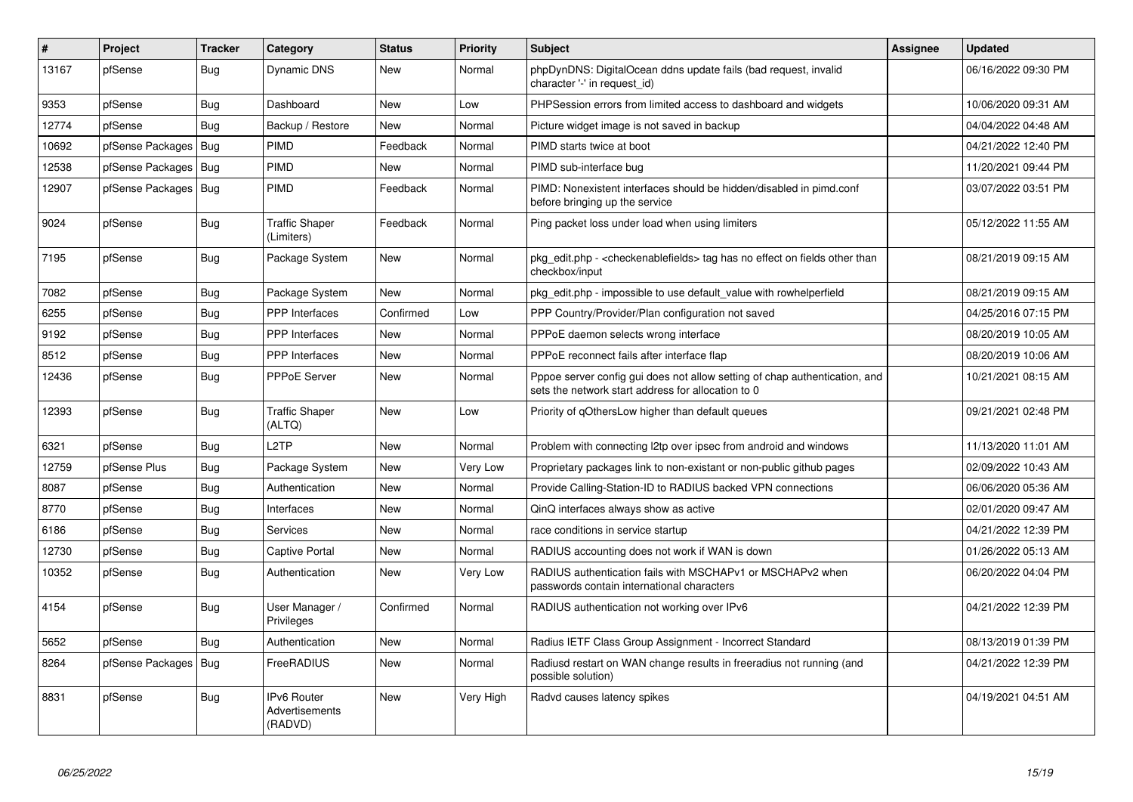| #     | Project          | <b>Tracker</b> | Category                                 | <b>Status</b> | <b>Priority</b> | <b>Subject</b>                                                                                                                   | Assignee | <b>Updated</b>      |
|-------|------------------|----------------|------------------------------------------|---------------|-----------------|----------------------------------------------------------------------------------------------------------------------------------|----------|---------------------|
| 13167 | pfSense          | Bug            | Dynamic DNS                              | New           | Normal          | phpDynDNS: DigitalOcean ddns update fails (bad request, invalid<br>character '-' in request id)                                  |          | 06/16/2022 09:30 PM |
| 9353  | pfSense          | <b>Bug</b>     | Dashboard                                | <b>New</b>    | Low             | PHPSession errors from limited access to dashboard and widgets                                                                   |          | 10/06/2020 09:31 AM |
| 12774 | pfSense          | Bug            | Backup / Restore                         | <b>New</b>    | Normal          | Picture widget image is not saved in backup                                                                                      |          | 04/04/2022 04:48 AM |
| 10692 | pfSense Packages | <b>Bug</b>     | PIMD                                     | Feedback      | Normal          | PIMD starts twice at boot                                                                                                        |          | 04/21/2022 12:40 PM |
| 12538 | pfSense Packages | <b>Bug</b>     | PIMD                                     | New           | Normal          | PIMD sub-interface bug                                                                                                           |          | 11/20/2021 09:44 PM |
| 12907 | pfSense Packages | <b>Bug</b>     | PIMD                                     | Feedback      | Normal          | PIMD: Nonexistent interfaces should be hidden/disabled in pimd.conf<br>before bringing up the service                            |          | 03/07/2022 03:51 PM |
| 9024  | pfSense          | <b>Bug</b>     | <b>Traffic Shaper</b><br>(Limiters)      | Feedback      | Normal          | Ping packet loss under load when using limiters                                                                                  |          | 05/12/2022 11:55 AM |
| 7195  | pfSense          | <b>Bug</b>     | Package System                           | <b>New</b>    | Normal          | pkg edit.php - <checkenablefields> tag has no effect on fields other than<br/>checkbox/input</checkenablefields>                 |          | 08/21/2019 09:15 AM |
| 7082  | pfSense          | Bug            | Package System                           | <b>New</b>    | Normal          | pkg edit.php - impossible to use default value with rowhelperfield                                                               |          | 08/21/2019 09:15 AM |
| 6255  | pfSense          | <b>Bug</b>     | <b>PPP</b> Interfaces                    | Confirmed     | Low             | PPP Country/Provider/Plan configuration not saved                                                                                |          | 04/25/2016 07:15 PM |
| 9192  | pfSense          | <b>Bug</b>     | PPP Interfaces                           | New           | Normal          | PPPoE daemon selects wrong interface                                                                                             |          | 08/20/2019 10:05 AM |
| 8512  | pfSense          | Bug            | <b>PPP</b> Interfaces                    | New           | Normal          | PPPoE reconnect fails after interface flap                                                                                       |          | 08/20/2019 10:06 AM |
| 12436 | pfSense          | <b>Bug</b>     | <b>PPPoE Server</b>                      | <b>New</b>    | Normal          | Pppoe server config gui does not allow setting of chap authentication, and<br>sets the network start address for allocation to 0 |          | 10/21/2021 08:15 AM |
| 12393 | pfSense          | <b>Bug</b>     | <b>Traffic Shaper</b><br>(ALTQ)          | <b>New</b>    | Low             | Priority of gOthersLow higher than default queues                                                                                |          | 09/21/2021 02:48 PM |
| 6321  | pfSense          | <b>Bug</b>     | L2TP                                     | <b>New</b>    | Normal          | Problem with connecting 12tp over ipsec from android and windows                                                                 |          | 11/13/2020 11:01 AM |
| 12759 | pfSense Plus     | Bug            | Package System                           | <b>New</b>    | Very Low        | Proprietary packages link to non-existant or non-public github pages                                                             |          | 02/09/2022 10:43 AM |
| 8087  | pfSense          | Bug            | Authentication                           | <b>New</b>    | Normal          | Provide Calling-Station-ID to RADIUS backed VPN connections                                                                      |          | 06/06/2020 05:36 AM |
| 8770  | pfSense          | <b>Bug</b>     | Interfaces                               | <b>New</b>    | Normal          | QinQ interfaces always show as active                                                                                            |          | 02/01/2020 09:47 AM |
| 6186  | pfSense          | Bug            | <b>Services</b>                          | New           | Normal          | race conditions in service startup                                                                                               |          | 04/21/2022 12:39 PM |
| 12730 | pfSense          | Bug            | Captive Portal                           | New           | Normal          | RADIUS accounting does not work if WAN is down                                                                                   |          | 01/26/2022 05:13 AM |
| 10352 | pfSense          | Bug            | Authentication                           | <b>New</b>    | Very Low        | RADIUS authentication fails with MSCHAPv1 or MSCHAPv2 when<br>passwords contain international characters                         |          | 06/20/2022 04:04 PM |
| 4154  | pfSense          | <b>Bug</b>     | User Manager /<br>Privileges             | Confirmed     | Normal          | RADIUS authentication not working over IPv6                                                                                      |          | 04/21/2022 12:39 PM |
| 5652  | pfSense          | Bug            | Authentication                           | <b>New</b>    | Normal          | Radius IETF Class Group Assignment - Incorrect Standard                                                                          |          | 08/13/2019 01:39 PM |
| 8264  | pfSense Packages | Bug            | FreeRADIUS                               | New           | Normal          | Radiusd restart on WAN change results in freeradius not running (and<br>possible solution)                                       |          | 04/21/2022 12:39 PM |
| 8831  | pfSense          | <b>Bug</b>     | IPv6 Router<br>Advertisements<br>(RADVD) | <b>New</b>    | Very High       | Radvd causes latency spikes                                                                                                      |          | 04/19/2021 04:51 AM |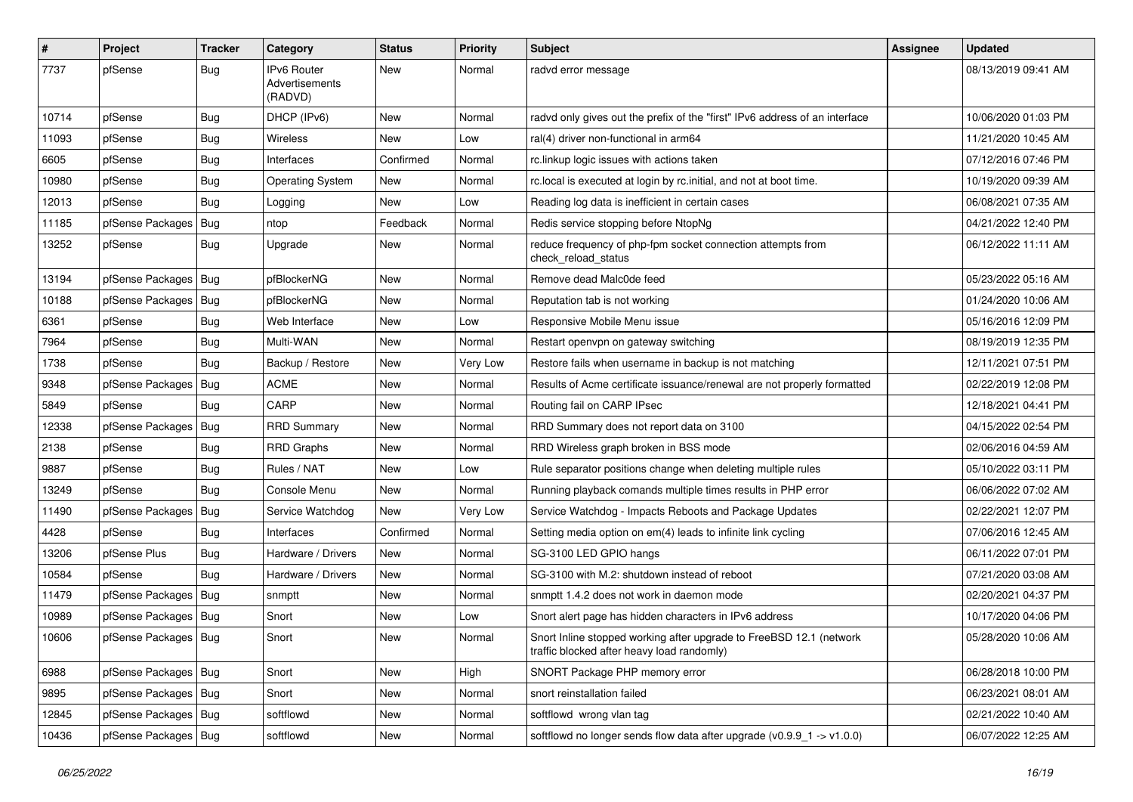| $\vert$ # | Project                | Tracker    | Category                                              | <b>Status</b> | <b>Priority</b> | <b>Subject</b>                                                                                                    | <b>Assignee</b> | <b>Updated</b>      |
|-----------|------------------------|------------|-------------------------------------------------------|---------------|-----------------|-------------------------------------------------------------------------------------------------------------------|-----------------|---------------------|
| 7737      | pfSense                | <b>Bug</b> | <b>Pv6 Router</b><br><b>Advertisements</b><br>(RADVD) | New           | Normal          | radvd error message                                                                                               |                 | 08/13/2019 09:41 AM |
| 10714     | pfSense                | <b>Bug</b> | DHCP (IPv6)                                           | <b>New</b>    | Normal          | radvd only gives out the prefix of the "first" IPv6 address of an interface                                       |                 | 10/06/2020 01:03 PM |
| 11093     | pfSense                | <b>Bug</b> | Wireless                                              | New           | Low             | ral(4) driver non-functional in arm64                                                                             |                 | 11/21/2020 10:45 AM |
| 6605      | pfSense                | <b>Bug</b> | Interfaces                                            | Confirmed     | Normal          | rc.linkup logic issues with actions taken                                                                         |                 | 07/12/2016 07:46 PM |
| 10980     | pfSense                | <b>Bug</b> | <b>Operating System</b>                               | <b>New</b>    | Normal          | rc.local is executed at login by rc.initial, and not at boot time.                                                |                 | 10/19/2020 09:39 AM |
| 12013     | pfSense                | <b>Bug</b> | Logging                                               | New           | Low             | Reading log data is inefficient in certain cases                                                                  |                 | 06/08/2021 07:35 AM |
| 11185     | pfSense Packages       | Bug        | ntop                                                  | Feedback      | Normal          | Redis service stopping before NtopNg                                                                              |                 | 04/21/2022 12:40 PM |
| 13252     | pfSense                | <b>Bug</b> | Upgrade                                               | New           | Normal          | reduce frequency of php-fpm socket connection attempts from<br>check reload status                                |                 | 06/12/2022 11:11 AM |
| 13194     | pfSense Packages       | <b>Bug</b> | pfBlockerNG                                           | New           | Normal          | Remove dead Malc0de feed                                                                                          |                 | 05/23/2022 05:16 AM |
| 10188     | pfSense Packages       | <b>Bug</b> | pfBlockerNG                                           | New           | Normal          | Reputation tab is not working                                                                                     |                 | 01/24/2020 10:06 AM |
| 6361      | pfSense                | <b>Bug</b> | Web Interface                                         | New           | Low             | Responsive Mobile Menu issue                                                                                      |                 | 05/16/2016 12:09 PM |
| 7964      | pfSense                | <b>Bug</b> | Multi-WAN                                             | <b>New</b>    | Normal          | Restart openvpn on gateway switching                                                                              |                 | 08/19/2019 12:35 PM |
| 1738      | pfSense                | <b>Bug</b> | Backup / Restore                                      | New           | Very Low        | Restore fails when username in backup is not matching                                                             |                 | 12/11/2021 07:51 PM |
| 9348      | pfSense Packages       | <b>Bug</b> | <b>ACME</b>                                           | <b>New</b>    | Normal          | Results of Acme certificate issuance/renewal are not properly formatted                                           |                 | 02/22/2019 12:08 PM |
| 5849      | pfSense                | <b>Bug</b> | CARP                                                  | <b>New</b>    | Normal          | Routing fail on CARP IPsec                                                                                        |                 | 12/18/2021 04:41 PM |
| 12338     | pfSense Packages       | <b>Bug</b> | <b>RRD Summary</b>                                    | New           | Normal          | RRD Summary does not report data on 3100                                                                          |                 | 04/15/2022 02:54 PM |
| 2138      | pfSense                | <b>Bug</b> | <b>RRD Graphs</b>                                     | New           | Normal          | RRD Wireless graph broken in BSS mode                                                                             |                 | 02/06/2016 04:59 AM |
| 9887      | pfSense                | <b>Bug</b> | Rules / NAT                                           | New           | Low             | Rule separator positions change when deleting multiple rules                                                      |                 | 05/10/2022 03:11 PM |
| 13249     | pfSense                | <b>Bug</b> | Console Menu                                          | New           | Normal          | Running playback comands multiple times results in PHP error                                                      |                 | 06/06/2022 07:02 AM |
| 11490     | pfSense Packages       | Bug        | Service Watchdog                                      | New           | Very Low        | Service Watchdog - Impacts Reboots and Package Updates                                                            |                 | 02/22/2021 12:07 PM |
| 4428      | pfSense                | <b>Bug</b> | Interfaces                                            | Confirmed     | Normal          | Setting media option on em(4) leads to infinite link cycling                                                      |                 | 07/06/2016 12:45 AM |
| 13206     | pfSense Plus           | Bug        | Hardware / Drivers                                    | New           | Normal          | SG-3100 LED GPIO hangs                                                                                            |                 | 06/11/2022 07:01 PM |
| 10584     | pfSense                | <b>Bug</b> | Hardware / Drivers                                    | New           | Normal          | SG-3100 with M.2: shutdown instead of reboot                                                                      |                 | 07/21/2020 03:08 AM |
| 11479     | pfSense Packages       | Bug        | snmptt                                                | New           | Normal          | snmptt 1.4.2 does not work in daemon mode                                                                         |                 | 02/20/2021 04:37 PM |
| 10989     | pfSense Packages   Bug |            | Snort                                                 | <b>New</b>    | Low             | Snort alert page has hidden characters in IPv6 address                                                            |                 | 10/17/2020 04:06 PM |
| 10606     | pfSense Packages   Bug |            | Snort                                                 | New           | Normal          | Snort Inline stopped working after upgrade to FreeBSD 12.1 (network<br>traffic blocked after heavy load randomly) |                 | 05/28/2020 10:06 AM |
| 6988      | pfSense Packages   Bug |            | Snort                                                 | New           | High            | SNORT Package PHP memory error                                                                                    |                 | 06/28/2018 10:00 PM |
| 9895      | pfSense Packages   Bug |            | Snort                                                 | New           | Normal          | snort reinstallation failed                                                                                       |                 | 06/23/2021 08:01 AM |
| 12845     | pfSense Packages   Bug |            | softflowd                                             | New           | Normal          | softflowd wrong vlan tag                                                                                          |                 | 02/21/2022 10:40 AM |
| 10436     | pfSense Packages   Bug |            | softflowd                                             | New           | Normal          | softflowd no longer sends flow data after upgrade $(v0.9.91 - > v1.0.0)$                                          |                 | 06/07/2022 12:25 AM |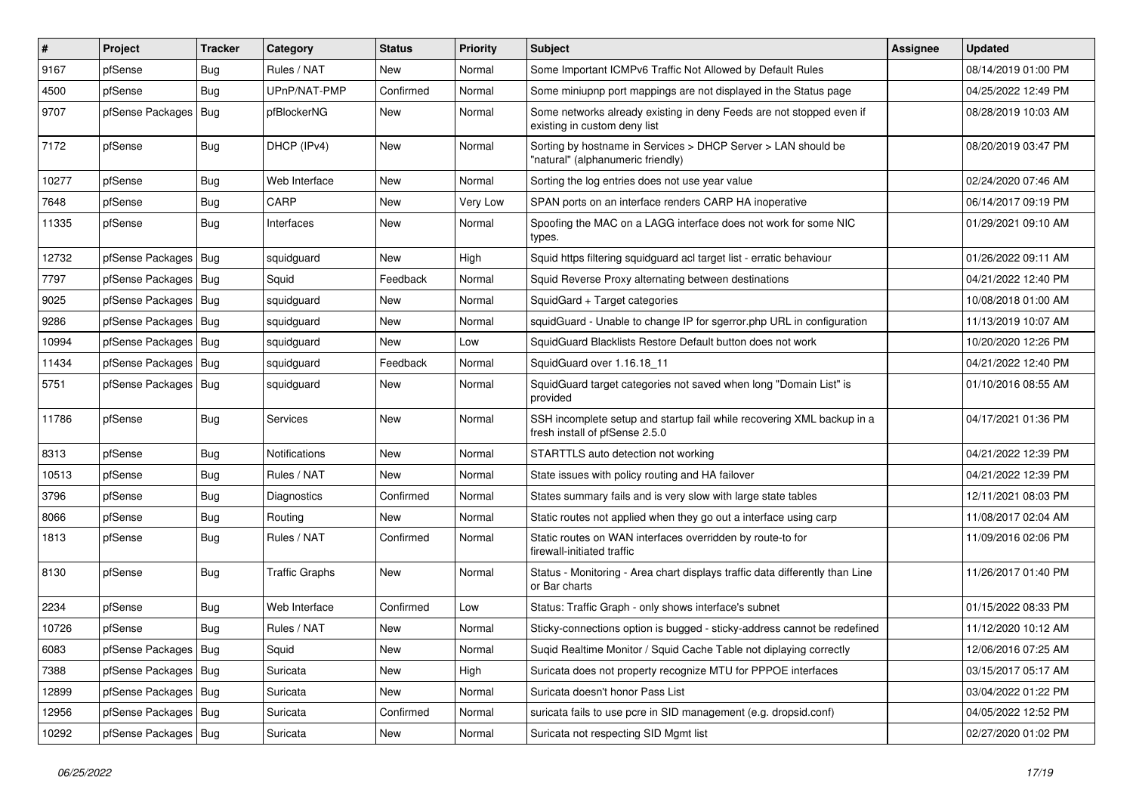| $\vert$ # | Project                | Tracker    | Category              | <b>Status</b> | <b>Priority</b> | Subject                                                                                                  | <b>Assignee</b> | <b>Updated</b>      |
|-----------|------------------------|------------|-----------------------|---------------|-----------------|----------------------------------------------------------------------------------------------------------|-----------------|---------------------|
| 9167      | pfSense                | <b>Bug</b> | Rules / NAT           | New           | Normal          | Some Important ICMPv6 Traffic Not Allowed by Default Rules                                               |                 | 08/14/2019 01:00 PM |
| 4500      | pfSense                | <b>Bug</b> | UPnP/NAT-PMP          | Confirmed     | Normal          | Some miniupnp port mappings are not displayed in the Status page                                         |                 | 04/25/2022 12:49 PM |
| 9707      | pfSense Packages       | <b>Bug</b> | pfBlockerNG           | New           | Normal          | Some networks already existing in deny Feeds are not stopped even if<br>existing in custom deny list     |                 | 08/28/2019 10:03 AM |
| 7172      | pfSense                | <b>Bug</b> | DHCP (IPv4)           | New           | Normal          | Sorting by hostname in Services > DHCP Server > LAN should be<br>"natural" (alphanumeric friendly)       |                 | 08/20/2019 03:47 PM |
| 10277     | pfSense                | <b>Bug</b> | Web Interface         | New           | Normal          | Sorting the log entries does not use year value                                                          |                 | 02/24/2020 07:46 AM |
| 7648      | pfSense                | <b>Bug</b> | CARP                  | New           | Very Low        | SPAN ports on an interface renders CARP HA inoperative                                                   |                 | 06/14/2017 09:19 PM |
| 11335     | pfSense                | <b>Bug</b> | Interfaces            | New           | Normal          | Spoofing the MAC on a LAGG interface does not work for some NIC<br>types.                                |                 | 01/29/2021 09:10 AM |
| 12732     | pfSense Packages       | <b>Bug</b> | squidguard            | New           | High            | Squid https filtering squidguard acl target list - erratic behaviour                                     |                 | 01/26/2022 09:11 AM |
| 7797      | pfSense Packages       | Bug        | Squid                 | Feedback      | Normal          | Squid Reverse Proxy alternating between destinations                                                     |                 | 04/21/2022 12:40 PM |
| 9025      | pfSense Packages       | <b>Bug</b> | squidguard            | <b>New</b>    | Normal          | SquidGard + Target categories                                                                            |                 | 10/08/2018 01:00 AM |
| 9286      | pfSense Packages       | Bug        | squidguard            | New           | Normal          | squidGuard - Unable to change IP for sgerror.php URL in configuration                                    |                 | 11/13/2019 10:07 AM |
| 10994     | pfSense Packages       | Bug        | squidguard            | <b>New</b>    | Low             | SquidGuard Blacklists Restore Default button does not work                                               |                 | 10/20/2020 12:26 PM |
| 11434     | pfSense Packages       | <b>Bug</b> | squidguard            | Feedback      | Normal          | SquidGuard over 1.16.18 11                                                                               |                 | 04/21/2022 12:40 PM |
| 5751      | pfSense Packages   Bug |            | squidguard            | <b>New</b>    | Normal          | SquidGuard target categories not saved when long "Domain List" is<br>provided                            |                 | 01/10/2016 08:55 AM |
| 11786     | pfSense                | Bug        | Services              | New           | Normal          | SSH incomplete setup and startup fail while recovering XML backup in a<br>fresh install of pfSense 2.5.0 |                 | 04/17/2021 01:36 PM |
| 8313      | pfSense                | <b>Bug</b> | Notifications         | <b>New</b>    | Normal          | STARTTLS auto detection not working                                                                      |                 | 04/21/2022 12:39 PM |
| 10513     | pfSense                | Bug        | Rules / NAT           | New           | Normal          | State issues with policy routing and HA failover                                                         |                 | 04/21/2022 12:39 PM |
| 3796      | pfSense                | <b>Bug</b> | Diagnostics           | Confirmed     | Normal          | States summary fails and is very slow with large state tables                                            |                 | 12/11/2021 08:03 PM |
| 8066      | pfSense                | <b>Bug</b> | Routing               | New           | Normal          | Static routes not applied when they go out a interface using carp                                        |                 | 11/08/2017 02:04 AM |
| 1813      | pfSense                | <b>Bug</b> | Rules / NAT           | Confirmed     | Normal          | Static routes on WAN interfaces overridden by route-to for<br>firewall-initiated traffic                 |                 | 11/09/2016 02:06 PM |
| 8130      | pfSense                | <b>Bug</b> | <b>Traffic Graphs</b> | New           | Normal          | Status - Monitoring - Area chart displays traffic data differently than Line<br>or Bar charts            |                 | 11/26/2017 01:40 PM |
| 2234      | pfSense                | <b>Bug</b> | Web Interface         | Confirmed     | Low             | Status: Traffic Graph - only shows interface's subnet                                                    |                 | 01/15/2022 08:33 PM |
| 10726     | pfSense                | <b>Bug</b> | Rules / NAT           | New           | Normal          | Sticky-connections option is bugged - sticky-address cannot be redefined                                 |                 | 11/12/2020 10:12 AM |
| 6083      | pfSense Packages   Bug |            | Squid                 | New           | Normal          | Suqid Realtime Monitor / Squid Cache Table not diplaying correctly                                       |                 | 12/06/2016 07:25 AM |
| 7388      | pfSense Packages       | Bug        | Suricata              | New           | High            | Suricata does not property recognize MTU for PPPOE interfaces                                            |                 | 03/15/2017 05:17 AM |
| 12899     | pfSense Packages   Bug |            | Suricata              | New           | Normal          | Suricata doesn't honor Pass List                                                                         |                 | 03/04/2022 01:22 PM |
| 12956     | pfSense Packages       | Bug        | Suricata              | Confirmed     | Normal          | suricata fails to use pcre in SID management (e.g. dropsid.conf)                                         |                 | 04/05/2022 12:52 PM |
| 10292     | pfSense Packages   Bug |            | Suricata              | New           | Normal          | Suricata not respecting SID Mgmt list                                                                    |                 | 02/27/2020 01:02 PM |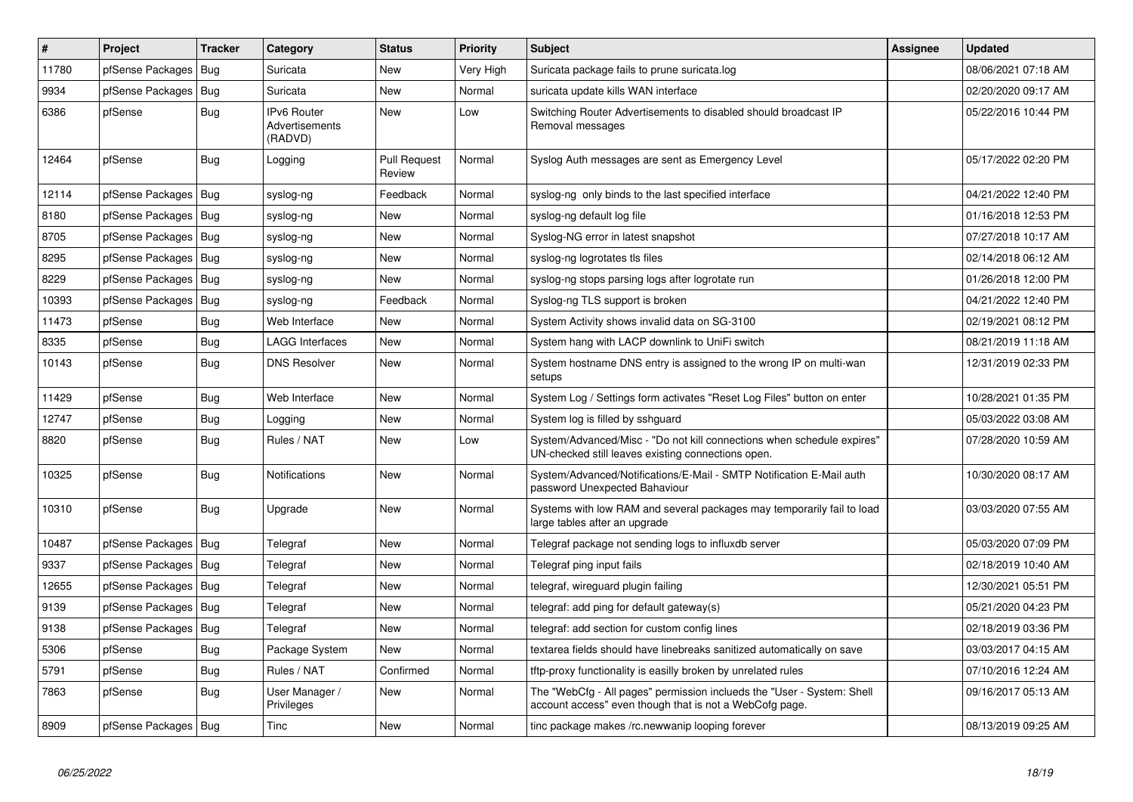| ∦     | <b>Project</b>         | <b>Tracker</b> | Category                                        | <b>Status</b>                 | <b>Priority</b> | <b>Subject</b>                                                                                                                    | <b>Assignee</b> | <b>Updated</b>      |
|-------|------------------------|----------------|-------------------------------------------------|-------------------------------|-----------------|-----------------------------------------------------------------------------------------------------------------------------------|-----------------|---------------------|
| 11780 | pfSense Packages       | Bug            | Suricata                                        | <b>New</b>                    | Very High       | Suricata package fails to prune suricata.log                                                                                      |                 | 08/06/2021 07:18 AM |
| 9934  | pfSense Packages       | Bug            | Suricata                                        | <b>New</b>                    | Normal          | suricata update kills WAN interface                                                                                               |                 | 02/20/2020 09:17 AM |
| 6386  | pfSense                | <b>Bug</b>     | <b>IPv6 Router</b><br>Advertisements<br>(RADVD) | <b>New</b>                    | Low             | Switching Router Advertisements to disabled should broadcast IP<br>Removal messages                                               |                 | 05/22/2016 10:44 PM |
| 12464 | pfSense                | <b>Bug</b>     | Logging                                         | <b>Pull Request</b><br>Review | Normal          | Syslog Auth messages are sent as Emergency Level                                                                                  |                 | 05/17/2022 02:20 PM |
| 12114 | pfSense Packages       | Bug            | syslog-ng                                       | Feedback                      | Normal          | syslog-ng only binds to the last specified interface                                                                              |                 | 04/21/2022 12:40 PM |
| 8180  | pfSense Packages       | Bug            | syslog-ng                                       | <b>New</b>                    | Normal          | syslog-ng default log file                                                                                                        |                 | 01/16/2018 12:53 PM |
| 8705  | pfSense Packages       | Bug            | syslog-ng                                       | <b>New</b>                    | Normal          | Syslog-NG error in latest snapshot                                                                                                |                 | 07/27/2018 10:17 AM |
| 8295  | pfSense Packages       | <b>Bug</b>     | syslog-ng                                       | New                           | Normal          | syslog-ng logrotates tls files                                                                                                    |                 | 02/14/2018 06:12 AM |
| 8229  | pfSense Packages       | Bug            | syslog-ng                                       | New                           | Normal          | syslog-ng stops parsing logs after logrotate run                                                                                  |                 | 01/26/2018 12:00 PM |
| 10393 | pfSense Packages       | <b>Bug</b>     | syslog-ng                                       | Feedback                      | Normal          | Syslog-ng TLS support is broken                                                                                                   |                 | 04/21/2022 12:40 PM |
| 11473 | pfSense                | <b>Bug</b>     | Web Interface                                   | <b>New</b>                    | Normal          | System Activity shows invalid data on SG-3100                                                                                     |                 | 02/19/2021 08:12 PM |
| 8335  | pfSense                | Bug            | LAGG Interfaces                                 | <b>New</b>                    | Normal          | System hang with LACP downlink to UniFi switch                                                                                    |                 | 08/21/2019 11:18 AM |
| 10143 | pfSense                | <b>Bug</b>     | <b>DNS Resolver</b>                             | New                           | Normal          | System hostname DNS entry is assigned to the wrong IP on multi-wan<br>setups                                                      |                 | 12/31/2019 02:33 PM |
| 11429 | pfSense                | <b>Bug</b>     | Web Interface                                   | <b>New</b>                    | Normal          | System Log / Settings form activates "Reset Log Files" button on enter                                                            |                 | 10/28/2021 01:35 PM |
| 12747 | pfSense                | <b>Bug</b>     | Logging                                         | <b>New</b>                    | Normal          | System log is filled by sshguard                                                                                                  |                 | 05/03/2022 03:08 AM |
| 8820  | pfSense                | Bug            | Rules / NAT                                     | <b>New</b>                    | Low             | System/Advanced/Misc - "Do not kill connections when schedule expires"<br>UN-checked still leaves existing connections open.      |                 | 07/28/2020 10:59 AM |
| 10325 | pfSense                | <b>Bug</b>     | <b>Notifications</b>                            | <b>New</b>                    | Normal          | System/Advanced/Notifications/E-Mail - SMTP Notification E-Mail auth<br>password Unexpected Bahaviour                             |                 | 10/30/2020 08:17 AM |
| 10310 | pfSense                | <b>Bug</b>     | Upgrade                                         | New                           | Normal          | Systems with low RAM and several packages may temporarily fail to load<br>large tables after an upgrade                           |                 | 03/03/2020 07:55 AM |
| 10487 | pfSense Packages       | Bug            | Telegraf                                        | New                           | Normal          | Telegraf package not sending logs to influxdb server                                                                              |                 | 05/03/2020 07:09 PM |
| 9337  | pfSense Packages       | <b>Bug</b>     | Telegraf                                        | <b>New</b>                    | Normal          | Telegraf ping input fails                                                                                                         |                 | 02/18/2019 10:40 AM |
| 12655 | pfSense Packages       | Bug            | Telegraf                                        | <b>New</b>                    | Normal          | telegraf, wireguard plugin failing                                                                                                |                 | 12/30/2021 05:51 PM |
| 9139  | pfSense Packages   Bug |                | Telegraf                                        | New                           | Normal          | telegraf: add ping for default gateway(s)                                                                                         |                 | 05/21/2020 04:23 PM |
| 9138  | pfSense Packages       | Bug            | Telegraf                                        | New                           | Normal          | telegraf: add section for custom config lines                                                                                     |                 | 02/18/2019 03:36 PM |
| 5306  | pfSense                | <b>Bug</b>     | Package System                                  | <b>New</b>                    | Normal          | textarea fields should have linebreaks sanitized automatically on save                                                            |                 | 03/03/2017 04:15 AM |
| 5791  | pfSense                | Bug            | Rules / NAT                                     | Confirmed                     | Normal          | tftp-proxy functionality is easilly broken by unrelated rules                                                                     |                 | 07/10/2016 12:24 AM |
| 7863  | pfSense                | Bug            | User Manager /<br>Privileges                    | New                           | Normal          | The "WebCfg - All pages" permission inclueds the "User - System: Shell<br>account access" even though that is not a WebCofg page. |                 | 09/16/2017 05:13 AM |
| 8909  | pfSense Packages   Bug |                | Tinc                                            | <b>New</b>                    | Normal          | tinc package makes /rc.newwanip looping forever                                                                                   |                 | 08/13/2019 09:25 AM |